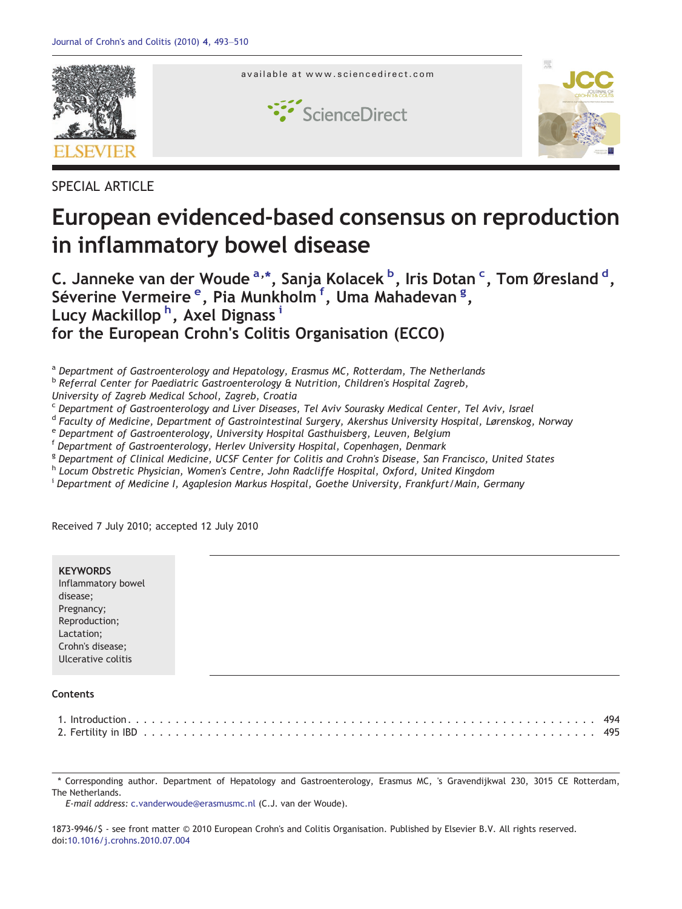

SPECIAL ARTICLE

# European evidenced-based consensus on reproduction in inflammatory bowel disease

C. Janneke van der Woude <sup>a, \*</sup>, Sanja Kolacek <sup>b</sup>, Iris Dotan <sup>c</sup>, Tom Øresland <sup>d</sup>, Séverine Vermeire <sup>e</sup>, Pia Munkholm <sup>f</sup>, Uma Mahadevan <sup>g</sup>, Lucy Mackillop <sup>h</sup>, Axel Dignass <sup>i</sup> for the European Crohn's Colitis Organisation (ECCO)

<sup>a</sup> Department of Gastroenterology and Hepatology, Erasmus MC, Rotterdam, The Netherlands

 $<sup>b</sup>$  Referral Center for Paediatric Gastroenterology & Nutrition, Children's Hospital Zagreb,</sup>

University of Zagreb Medical School, Zagreb, Croatia

<sup>c</sup> Department of Gastroenterology and Liver Diseases, Tel Aviv Sourasky Medical Center, Tel Aviv, Israel

<sup>d</sup> Faculty of Medicine, Department of Gastrointestinal Surgery, Akershus University Hospital, Lørenskog, Norway

<sup>e</sup> Department of Gastroenterology, University Hospital Gasthuisberg, Leuven, Belgium

<sup>f</sup> Department of Gastroenterology, Herlev University Hospital, Copenhagen, Denmark

<sup>g</sup> Department of Clinical Medicine, UCSF Center for Colitis and Crohn's Disease, San Francisco, United States

h Locum Obstretic Physician, Women's Centre, John Radcliffe Hospital, Oxford, United Kingdom

<sup>i</sup> Department of Medicine I, Agaplesion Markus Hospital, Goethe University, Frankfurt/Main, Germany

Received 7 July 2010; accepted 12 July 2010

|--|

⁎ Corresponding author. Department of Hepatology and Gastroenterology, Erasmus MC, 's Gravendijkwal 230, 3015 CE Rotterdam, The Netherlands.

E-mail address: c.vanderwoude@erasmusmc.nl (C.J. van der Woude).

1873-9946/\$ - see front matter © 2010 European Crohn's and Colitis Organisation. Published by Elsevier B.V. All rights reserved. doi[:10.1016/j.crohns.2010.07.004](http://dx.doi.org/10.1016/j.crohns.2010.07.004)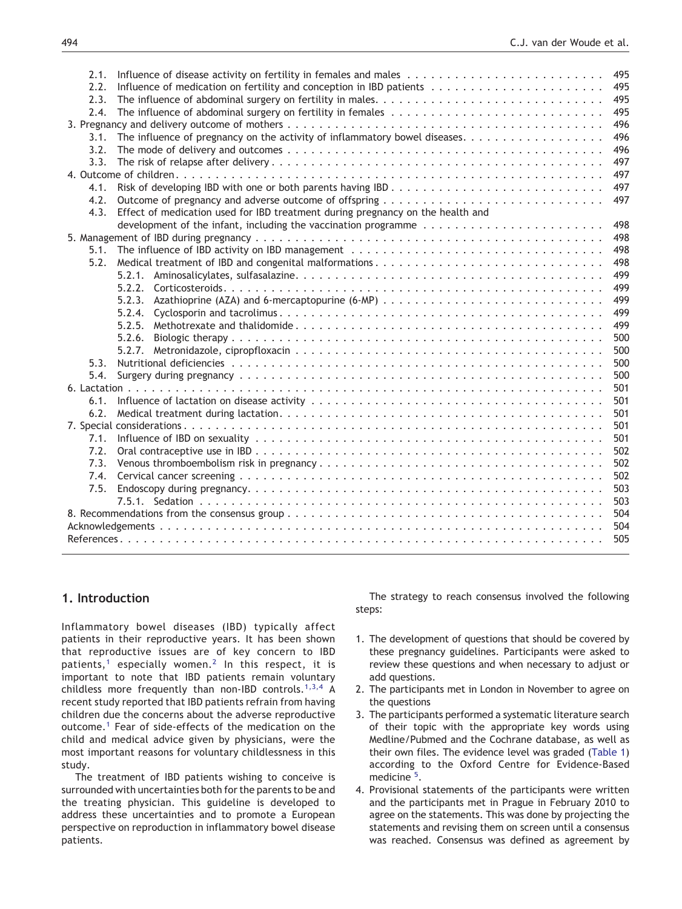| 495<br>2.2.                                                                                                             |
|-------------------------------------------------------------------------------------------------------------------------|
| 495<br>2.3.                                                                                                             |
| 495<br>2.4.                                                                                                             |
| 496                                                                                                                     |
| 496<br>3.1.                                                                                                             |
| 496<br>3.2.                                                                                                             |
| 497<br>3.3.                                                                                                             |
| 497                                                                                                                     |
| 497<br>4.1.                                                                                                             |
| 497<br>4.2. Outcome of pregnancy and adverse outcome of offspring                                                       |
| 4.3. Effect of medication used for IBD treatment during pregnancy on the health and                                     |
| 498<br>development of the infant, including the vaccination programme $\dots \dots \dots \dots \dots \dots \dots \dots$ |
| 498                                                                                                                     |
| 5.1. The influence of IBD activity on IBD management<br>498                                                             |
| 498<br>5.2. Medical treatment of IBD and congenital malformations                                                       |
| 499                                                                                                                     |
| 499                                                                                                                     |
| 499<br>5.2.3.                                                                                                           |
| 499                                                                                                                     |
| 499                                                                                                                     |
| 500<br>5.2.6.                                                                                                           |
| 500                                                                                                                     |
| 50 <sub>C</sub>                                                                                                         |
| 500                                                                                                                     |
| 501                                                                                                                     |
| 501                                                                                                                     |
| 501<br>6.2.                                                                                                             |
| 501                                                                                                                     |
| 501                                                                                                                     |
| 502                                                                                                                     |
| 502                                                                                                                     |
| 502                                                                                                                     |
| 503<br>7.5.                                                                                                             |
| 503                                                                                                                     |
| 504                                                                                                                     |
| 504                                                                                                                     |
| 505                                                                                                                     |
|                                                                                                                         |

# 1. Introduction

Inflammatory bowel diseases (IBD) typically affect patients in their reproductive years. It has been shown that reproductive issues are of key concern to IBD patients,<sup>[1](#page-12-0)</sup> especially women.<sup>[2](#page-12-0)</sup> In this respect, it is important to note that IBD patients remain voluntary childless more frequently than non-IBD controls.<sup>[1,3,4](#page-12-0)</sup> A recent study reported that IBD patients refrain from having children due the concerns about the adverse reproductive outcome.[1](#page-12-0) Fear of side-effects of the medication on the child and medical advice given by physicians, were the most important reasons for voluntary childlessness in this study.

The treatment of IBD patients wishing to conceive is surrounded with uncertainties both for the parents to be and the treating physician. This guideline is developed to address these uncertainties and to promote a European perspective on reproduction in inflammatory bowel disease patients.

The strategy to reach consensus involved the following steps:

- 1. The development of questions that should be covered by these pregnancy guidelines. Participants were asked to review these questions and when necessary to adjust or add questions.
- 2. The participants met in London in November to agree on the questions
- 3. The participants performed a systematic literature search of their topic with the appropriate key words using Medline/Pubmed and the Cochrane database, as well as their own files. The evidence level was graded ([Table 1\)](#page-2-0) according to the Oxford Centre for Evidence-Based medicine<sup>[5](http://www.cebm.net)</sup>.
- 4. Provisional statements of the participants were written and the participants met in Prague in February 2010 to agree on the statements. This was done by projecting the statements and revising them on screen until a consensus was reached. Consensus was defined as agreement by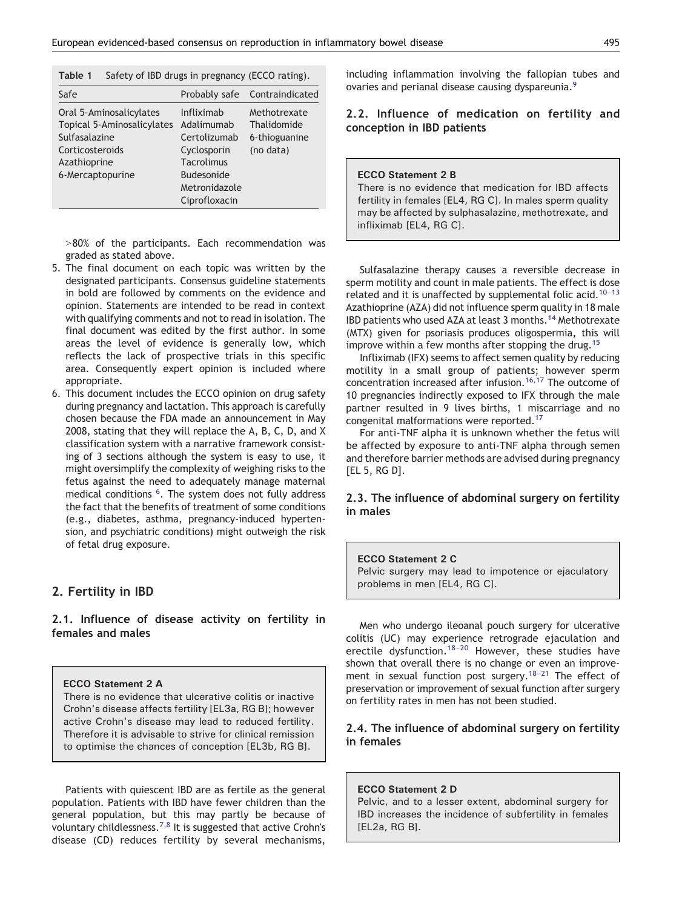<span id="page-2-0"></span>

| <b>Table 1</b> Safety of IBD drugs in pregnancy (ECCO rating). |  |  |  |  |
|----------------------------------------------------------------|--|--|--|--|
|----------------------------------------------------------------|--|--|--|--|

| Safe<br>Probably safe Contraindicated<br>Oral 5-Aminosalicylates<br>Infliximab<br>Methotrexate<br>Topical 5-Aminosalicylates<br>Adalimumab<br>Thalidomide<br>Sulfasalazine<br>Certolizumab<br>6-thioguanine<br>(no data)<br>Cyclosporin<br>Corticosteroids<br><b>Tacrolimus</b><br>Azathioprine<br>6-Mercaptopurine<br><b>Budesonide</b><br>Metronidazole<br>Ciprofloxacin |  |  |
|----------------------------------------------------------------------------------------------------------------------------------------------------------------------------------------------------------------------------------------------------------------------------------------------------------------------------------------------------------------------------|--|--|
|                                                                                                                                                                                                                                                                                                                                                                            |  |  |
|                                                                                                                                                                                                                                                                                                                                                                            |  |  |

 $>80%$  of the participants. Each recommendation was graded as stated above.

- 5. The final document on each topic was written by the designated participants. Consensus guideline statements in bold are followed by comments on the evidence and opinion. Statements are intended to be read in context with qualifying comments and not to read in isolation. The final document was edited by the first author. In some areas the level of evidence is generally low, which reflects the lack of prospective trials in this specific area. Consequently expert opinion is included where appropriate.
- 6. This document includes the ECCO opinion on drug safety during pregnancy and lactation. This approach is carefully chosen because the FDA made an announcement in May 2008, stating that they will replace the A, B, C, D, and X classification system with a narrative framework consisting of 3 sections although the system is easy to use, it might oversimplify the complexity of weighing risks to the fetus against the need to adequately manage maternal medical conditions <sup>[6](#page-12-0)</sup>. The system does not fully address the fact that the benefits of treatment of some conditions (e.g., diabetes, asthma, pregnancy-induced hypertension, and psychiatric conditions) might outweigh the risk of fetal drug exposure.

# 2. Fertility in IBD

2.1. Influence of disease activity on fertility in females and males

## ECCO Statement 2 A

There is no evidence that ulcerative colitis or inactive Crohn's disease affects fertility [EL3a, RG B]; however active Crohn's disease may lead to reduced fertility. Therefore it is advisable to strive for clinical remission to optimise the chances of conception [EL3b, RG B].

Patients with quiescent IBD are as fertile as the general population. Patients with IBD have fewer children than the general population, but this may partly be because of voluntary childlessness.<sup>[7,8](#page-12-0)</sup> It is suggested that active Crohn's disease (CD) reduces fertility by several mechanisms,

including inflammation involving the fallopian tubes and ovaries and perianal disease causing dyspareunia.<sup>[9](#page-12-0)</sup>

# 2.2. Influence of medication on fertility and conception in IBD patients

#### ECCO Statement 2 B

There is no evidence that medication for IBD affects fertility in females [EL4, RG C]. In males sperm quality may be affected by sulphasalazine, methotrexate, and infliximab [EL4, RG C].

Sulfasalazine therapy causes a reversible decrease in sperm motility and count in male patients. The effect is dose related and it is unaffected by supplemental folic acid.<sup>[10](#page-12-0)-13</sup> Azathioprine (AZA) did not influence sperm quality in 18 male IBD patients who used AZA at least 3 months.[14](#page-12-0) Methotrexate (MTX) given for psoriasis produces oligospermia, this will improve within a few months after stopping the drug.<sup>[15](#page-12-0)</sup>

Infliximab (IFX) seems to affect semen quality by reducing motility in a small group of patients; however sperm concentration increased after infusion.<sup>[16,17](#page-12-0)</sup> The outcome of 10 pregnancies indirectly exposed to IFX through the male partner resulted in 9 lives births, 1 miscarriage and no congenital malformations were reported.[17](#page-12-0)

For anti-TNF alpha it is unknown whether the fetus will be affected by exposure to anti-TNF alpha through semen and therefore barrier methods are advised during pregnancy [EL 5, RG D].

# 2.3. The influence of abdominal surgery on fertility in males

# ECCO Statement 2 C Pelvic surgery may lead to impotence or ejaculatory problems in men [EL4, RG C].

Men who undergo ileoanal pouch surgery for ulcerative colitis (UC) may experience retrograde ejaculation and erectile dysfunction.<sup>18–[20](#page-12-0)</sup> However, these studies have shown that overall there is no change or even an improve-ment in sexual function post surgery.<sup>18–[21](#page-12-0)</sup> The effect of preservation or improvement of sexual function after surgery on fertility rates in men has not been studied.

# 2.4. The influence of abdominal surgery on fertility in females

#### ECCO Statement 2 D

Pelvic, and to a lesser extent, abdominal surgery for IBD increases the incidence of subfertility in females [EL2a, RG B].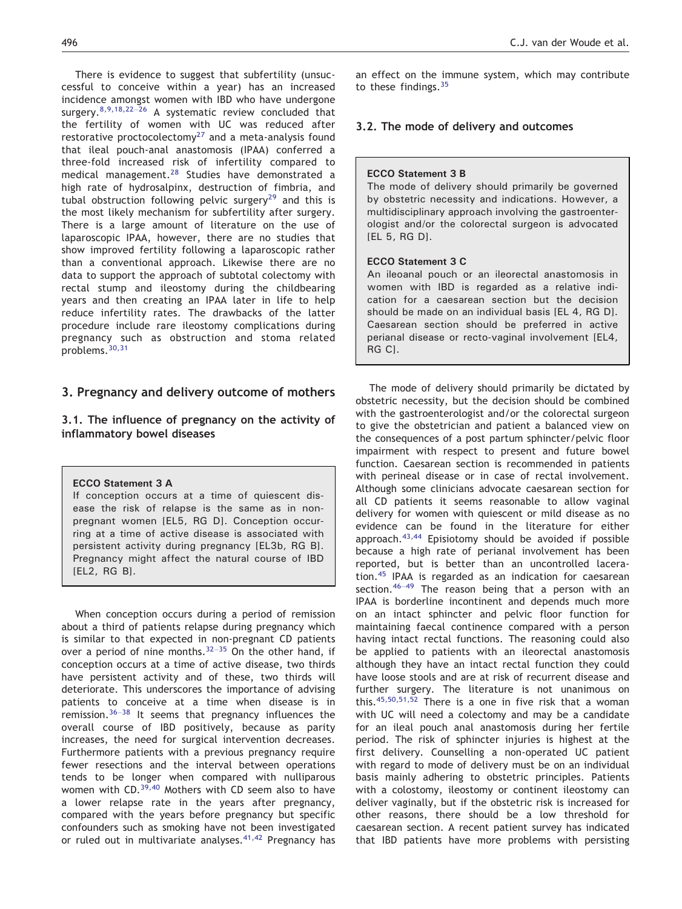There is evidence to suggest that subfertility (unsuccessful to conceive within a year) has an increased incidence amongst women with IBD who have undergone surgery. $8,9,18,22-26$  $8,9,18,22-26$  A systematic review concluded that the fertility of women with UC was reduced after restorative proctocolectomy $27$  and a meta-analysis found that ileal pouch-anal anastomosis (IPAA) conferred a three-fold increased risk of infertility compared to medical management.[28](#page-12-0) Studies have demonstrated a high rate of hydrosalpinx, destruction of fimbria, and tubal obstruction following pelvic surgery<sup>[29](#page-12-0)</sup> and this is the most likely mechanism for subfertility after surgery. There is a large amount of literature on the use of laparoscopic IPAA, however, there are no studies that show improved fertility following a laparoscopic rather than a conventional approach. Likewise there are no data to support the approach of subtotal colectomy with rectal stump and ileostomy during the childbearing years and then creating an IPAA later in life to help reduce infertility rates. The drawbacks of the latter procedure include rare ileostomy complications during pregnancy such as obstruction and stoma related problems.[30,31](#page-12-0)

# 3. Pregnancy and delivery outcome of mothers

3.1. The influence of pregnancy on the activity of inflammatory bowel diseases

## ECCO Statement 3 A

If conception occurs at a time of quiescent disease the risk of relapse is the same as in nonpregnant women [EL5, RG D]. Conception occurring at a time of active disease is associated with persistent activity during pregnancy [EL3b, RG B]. Pregnancy might affect the natural course of IBD [EL2, RG B].

When conception occurs during a period of remission about a third of patients relapse during pregnancy which is similar to that expected in non-pregnant CD patients over a period of nine months.  $32-35$  $32-35$  On the other hand, if conception occurs at a time of active disease, two thirds have persistent activity and of these, two thirds will deteriorate. This underscores the importance of advising patients to conceive at a time when disease is in remission.<sup>[36](#page-13-0)–38</sup> It seems that pregnancy influences the overall course of IBD positively, because as parity increases, the need for surgical intervention decreases. Furthermore patients with a previous pregnancy require fewer resections and the interval between operations tends to be longer when compared with nulliparous women with CD. $39,40$  Mothers with CD seem also to have a lower relapse rate in the years after pregnancy, compared with the years before pregnancy but specific confounders such as smoking have not been investigated or ruled out in multivariate analyses.  $41,42$  Pregnancy has an effect on the immune system, which may contribute to these findings.<sup>[35](#page-13-0)</sup>

## 3.2. The mode of delivery and outcomes

#### ECCO Statement 3 B

The mode of delivery should primarily be governed by obstetric necessity and indications. However, a multidisciplinary approach involving the gastroenterologist and/or the colorectal surgeon is advocated [EL 5, RG D].

#### ECCO Statement 3 C

An ileoanal pouch or an ileorectal anastomosis in women with IBD is regarded as a relative indication for a caesarean section but the decision should be made on an individual basis [EL 4, RG D]. Caesarean section should be preferred in active perianal disease or recto-vaginal involvement [EL4, RG C].

The mode of delivery should primarily be dictated by obstetric necessity, but the decision should be combined with the gastroenterologist and/or the colorectal surgeon to give the obstetrician and patient a balanced view on the consequences of a post partum sphincter/pelvic floor impairment with respect to present and future bowel function. Caesarean section is recommended in patients with perineal disease or in case of rectal involvement. Although some clinicians advocate caesarean section for all CD patients it seems reasonable to allow vaginal delivery for women with quiescent or mild disease as no evidence can be found in the literature for either approach. $43,44$  Episiotomy should be avoided if possible because a high rate of perianal involvement has been reported, but is better than an uncontrolled laceration.[45](#page-13-0) IPAA is regarded as an indication for caesarean section.<sup>[46](#page-13-0)-49</sup> The reason being that a person with an IPAA is borderline incontinent and depends much more on an intact sphincter and pelvic floor function for maintaining faecal continence compared with a person having intact rectal functions. The reasoning could also be applied to patients with an ileorectal anastomosis although they have an intact rectal function they could have loose stools and are at risk of recurrent disease and further surgery. The literature is not unanimous on this. $45,50,51,52$  There is a one in five risk that a woman with UC will need a colectomy and may be a candidate for an ileal pouch anal anastomosis during her fertile period. The risk of sphincter injuries is highest at the first delivery. Counselling a non-operated UC patient with regard to mode of delivery must be on an individual basis mainly adhering to obstetric principles. Patients with a colostomy, ileostomy or continent ileostomy can deliver vaginally, but if the obstetric risk is increased for other reasons, there should be a low threshold for caesarean section. A recent patient survey has indicated that IBD patients have more problems with persisting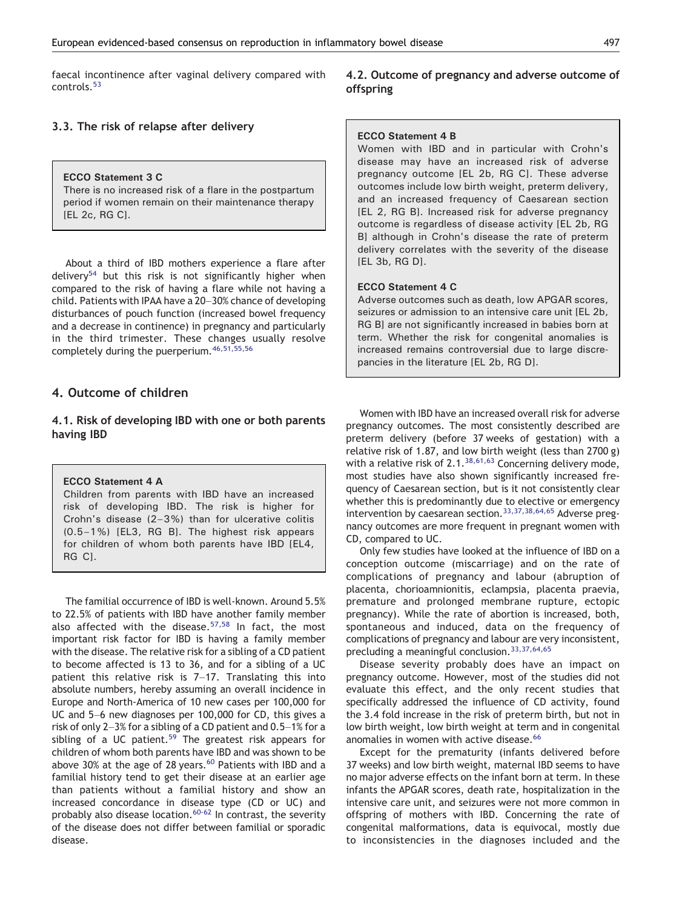faecal incontinence after vaginal delivery compared with controls.<sup>[53](#page-13-0)</sup>

# 3.3. The risk of relapse after delivery

## ECCO Statement 3 C

There is no increased risk of a flare in the postpartum period if women remain on their maintenance therapy [EL 2c, RG C].

About a third of IBD mothers experience a flare after delivery<sup>[54](#page-13-0)</sup> but this risk is not significantly higher when compared to the risk of having a flare while not having a child. Patients with IPAA have a 20–30% chance of developing disturbances of pouch function (increased bowel frequency and a decrease in continence) in pregnancy and particularly in the third trimester. These changes usually resolve completely during the puerperium.[46,51,55,56](#page-13-0)

# 4. Outcome of children

# 4.1. Risk of developing IBD with one or both parents having IBD

## ECCO Statement 4 A

Children from parents with IBD have an increased risk of developing IBD. The risk is higher for Crohn's disease (2–3%) than for ulcerative colitis (0.5–1%) [EL3, RG B]. The highest risk appears for children of whom both parents have IBD [EL4, RG CI.

The familial occurrence of IBD is well-known. Around 5.5% to 22.5% of patients with IBD have another family member also affected with the disease. $57,58$  In fact, the most important risk factor for IBD is having a family member with the disease. The relative risk for a sibling of a CD patient to become affected is 13 to 36, and for a sibling of a UC patient this relative risk is 7–17. Translating this into absolute numbers, hereby assuming an overall incidence in Europe and North-America of 10 new cases per 100,000 for UC and 5–6 new diagnoses per 100,000 for CD, this gives a risk of only 2–3% for a sibling of a CD patient and 0.5–1% for a sibling of a UC patient.<sup>[59](#page-13-0)</sup> The greatest risk appears for children of whom both parents have IBD and was shown to be above 30% at the age of 28 years.<sup>[60](#page-13-0)</sup> Patients with IBD and a familial history tend to get their disease at an earlier age than patients without a familial history and show an increased concordance in disease type (CD or UC) and probably also disease location.<sup>[60-62](#page-13-0)</sup> In contrast, the severity of the disease does not differ between familial or sporadic disease.

# 4.2. Outcome of pregnancy and adverse outcome of offspring

## ECCO Statement 4 B

Women with IBD and in particular with Crohn's disease may have an increased risk of adverse pregnancy outcome [EL 2b, RG C]. These adverse outcomes include low birth weight, preterm delivery, and an increased frequency of Caesarean section [EL 2, RG B]. Increased risk for adverse pregnancy outcome is regardless of disease activity [EL 2b, RG B] although in Crohn's disease the rate of preterm delivery correlates with the severity of the disease [EL 3b, RG D].

#### ECCO Statement 4 C

Adverse outcomes such as death, low APGAR scores, seizures or admission to an intensive care unit [EL 2b, RG B] are not significantly increased in babies born at term. Whether the risk for congenital anomalies is increased remains controversial due to large discrepancies in the literature [EL 2b, RG D].

Women with IBD have an increased overall risk for adverse pregnancy outcomes. The most consistently described are preterm delivery (before 37 weeks of gestation) with a relative risk of 1.87, and low birth weight (less than 2700 g) with a relative risk of  $2.1^{38,61,63}$  $2.1^{38,61,63}$  $2.1^{38,61,63}$  Concerning delivery mode, most studies have also shown significantly increased frequency of Caesarean section, but is it not consistently clear whether this is predominantly due to elective or emergency intervention by caesarean section.[33,37,38,64,65](#page-13-0) Adverse pregnancy outcomes are more frequent in pregnant women with CD, compared to UC.

Only few studies have looked at the influence of IBD on a conception outcome (miscarriage) and on the rate of complications of pregnancy and labour (abruption of placenta, chorioamnionitis, eclampsia, placenta praevia, premature and prolonged membrane rupture, ectopic pregnancy). While the rate of abortion is increased, both, spontaneous and induced, data on the frequency of complications of pregnancy and labour are very inconsistent, precluding a meaningful conclusion.[33,37,64,65](#page-13-0)

Disease severity probably does have an impact on pregnancy outcome. However, most of the studies did not evaluate this effect, and the only recent studies that specifically addressed the influence of CD activity, found the 3.4 fold increase in the risk of preterm birth, but not in low birth weight, low birth weight at term and in congenital anomalies in women with active disease.<sup>[66](#page-13-0)</sup>

Except for the prematurity (infants delivered before 37 weeks) and low birth weight, maternal IBD seems to have no major adverse effects on the infant born at term. In these infants the APGAR scores, death rate, hospitalization in the intensive care unit, and seizures were not more common in offspring of mothers with IBD. Concerning the rate of congenital malformations, data is equivocal, mostly due to inconsistencies in the diagnoses included and the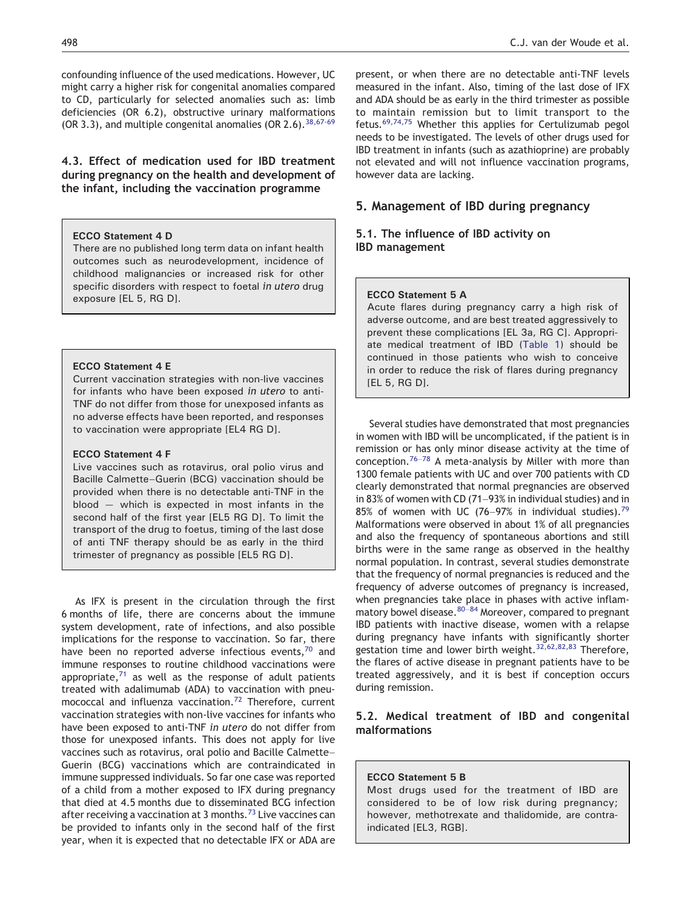confounding influence of the used medications. However, UC might carry a higher risk for congenital anomalies compared to CD, particularly for selected anomalies such as: limb deficiencies (OR 6.2), obstructive urinary malformations (OR 3.3), and multiple congenital anomalies (OR  $2.6$ ),  $38,67.69$ 

4.3. Effect of medication used for IBD treatment during pregnancy on the health and development of the infant, including the vaccination programme

#### ECCO Statement 4 D

There are no published long term data on infant health outcomes such as neurodevelopment, incidence of childhood malignancies or increased risk for other specific disorders with respect to foetal in utero drug exposure [EL 5, RG D].

## ECCO Statement 4 E

Current vaccination strategies with non-live vaccines for infants who have been exposed in utero to anti-TNF do not differ from those for unexposed infants as no adverse effects have been reported, and responses to vaccination were appropriate [EL4 RG D].

#### ECCO Statement 4 F

Live vaccines such as rotavirus, oral polio virus and Bacille Calmette–Guerin (BCG) vaccination should be provided when there is no detectable anti-TNF in the blood — which is expected in most infants in the second half of the first year [EL5 RG D]. To limit the transport of the drug to foetus, timing of the last dose of anti TNF therapy should be as early in the third trimester of pregnancy as possible [EL5 RG D].

As IFX is present in the circulation through the first 6 months of life, there are concerns about the immune system development, rate of infections, and also possible implications for the response to vaccination. So far, there have been no reported adverse infectious events, $70$  and immune responses to routine childhood vaccinations were appropriate, $71$  as well as the response of adult patients treated with adalimumab (ADA) to vaccination with pneu-mococcal and influenza vaccination.<sup>[72](#page-14-0)</sup> Therefore, current vaccination strategies with non-live vaccines for infants who have been exposed to anti-TNF in utero do not differ from those for unexposed infants. This does not apply for live vaccines such as rotavirus, oral polio and Bacille Calmette– Guerin (BCG) vaccinations which are contraindicated in immune suppressed individuals. So far one case was reported of a child from a mother exposed to IFX during pregnancy that died at 4.5 months due to disseminated BCG infection after receiving a vaccination at 3 months.<sup>[73](#page-14-0)</sup> Live vaccines can be provided to infants only in the second half of the first year, when it is expected that no detectable IFX or ADA are

498 C.J. van der Woude et al.

present, or when there are no detectable anti-TNF levels measured in the infant. Also, timing of the last dose of IFX and ADA should be as early in the third trimester as possible to maintain remission but to limit transport to the fetus.[69,74,75](#page-13-0) Whether this applies for Certulizumab pegol needs to be investigated. The levels of other drugs used for IBD treatment in infants (such as azathioprine) are probably not elevated and will not influence vaccination programs, however data are lacking.

# 5. Management of IBD during pregnancy

# 5.1. The influence of IBD activity on IBD management

## ECCO Statement 5 A

Acute flares during pregnancy carry a high risk of adverse outcome, and are best treated aggressively to prevent these complications [EL 3a, RG C]. Appropriate medical treatment of IBD ([Table 1\)](#page-2-0) should be continued in those patients who wish to conceive in order to reduce the risk of flares during pregnancy [EL 5, RG D].

Several studies have demonstrated that most pregnancies in women with IBD will be uncomplicated, if the patient is in remission or has only minor disease activity at the time of conception.<sup>[76](#page-14-0)–78</sup> A meta-analysis by Miller with more than 1300 female patients with UC and over 700 patients with CD clearly demonstrated that normal pregnancies are observed in 83% of women with CD (71–93% in individual studies) and in 85% of women with UC (76–97% in individual studies).<sup>[79](#page-14-0)</sup> Malformations were observed in about 1% of all pregnancies and also the frequency of spontaneous abortions and still births were in the same range as observed in the healthy normal population. In contrast, several studies demonstrate that the frequency of normal pregnancies is reduced and the frequency of adverse outcomes of pregnancy is increased, when pregnancies take place in phases with active inflammatory bowel disease.  $80-84$  $80-84$  Moreover, compared to pregnant IBD patients with inactive disease, women with a relapse during pregnancy have infants with significantly shorter gestation time and lower birth weight.<sup>[32,62,82,83](#page-13-0)</sup> Therefore, the flares of active disease in pregnant patients have to be treated aggressively, and it is best if conception occurs during remission.

# 5.2. Medical treatment of IBD and congenital malformations

#### ECCO Statement 5 B

Most drugs used for the treatment of IBD are considered to be of low risk during pregnancy; however, methotrexate and thalidomide, are contraindicated [EL3, RGB].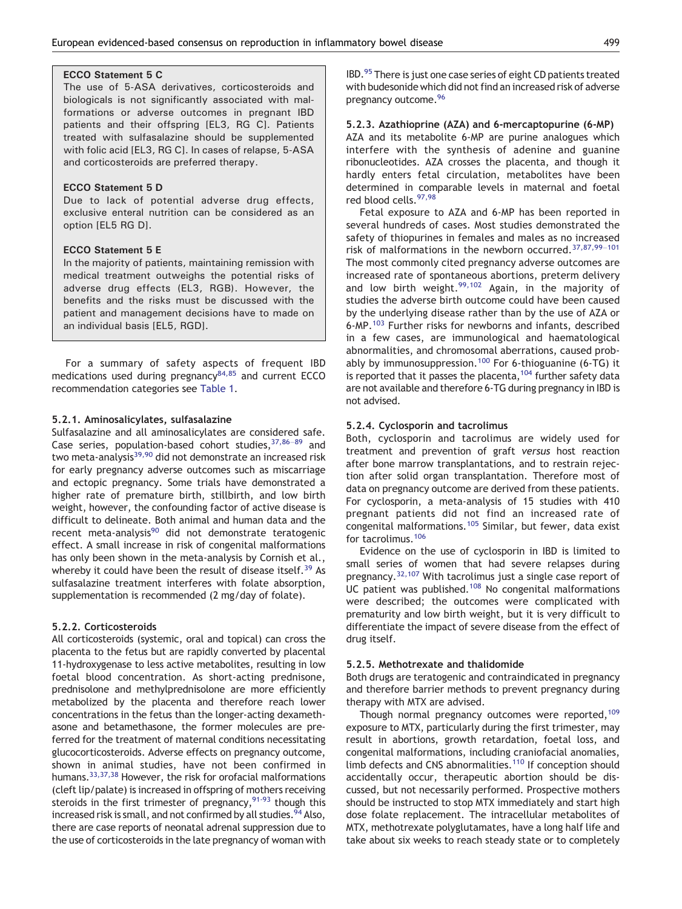#### ECCO Statement 5 C

The use of 5-ASA derivatives, corticosteroids and biologicals is not significantly associated with malformations or adverse outcomes in pregnant IBD patients and their offspring [EL3, RG C]. Patients treated with sulfasalazine should be supplemented with folic acid [EL3, RG C]. In cases of relapse, 5-ASA and corticosteroids are preferred therapy.

## ECCO Statement 5 D

Due to lack of potential adverse drug effects, exclusive enteral nutrition can be considered as an option [EL5 RG D].

#### ECCO Statement 5 E

In the majority of patients, maintaining remission with medical treatment outweighs the potential risks of adverse drug effects (EL3, RGB). However, the benefits and the risks must be discussed with the patient and management decisions have to made on an individual basis [EL5, RGD].

For a summary of safety aspects of frequent IBD medications used during pregnancy $84,85$  and current ECCO recommendation categories see [Table 1.](#page-2-0)

#### 5.2.1. Aminosalicylates, sulfasalazine

Sulfasalazine and all aminosalicylates are considered safe. Case series, population-based cohort studies,  $37,86-89$  $37,86-89$  and two meta-analysis<sup>[39,90](#page-13-0)</sup> did not demonstrate an increased risk for early pregnancy adverse outcomes such as miscarriage and ectopic pregnancy. Some trials have demonstrated a higher rate of premature birth, stillbirth, and low birth weight, however, the confounding factor of active disease is difficult to delineate. Both animal and human data and the recent meta-analysis<sup>[90](#page-14-0)</sup> did not demonstrate teratogenic effect. A small increase in risk of congenital malformations has only been shown in the meta-analysis by Cornish et al., whereby it could have been the result of disease itself.<sup>[39](#page-13-0)</sup> As sulfasalazine treatment interferes with folate absorption, supplementation is recommended (2 mg/day of folate).

#### 5.2.2. Corticosteroids

All corticosteroids (systemic, oral and topical) can cross the placenta to the fetus but are rapidly converted by placental 11-hydroxygenase to less active metabolites, resulting in low foetal blood concentration. As short-acting prednisone, prednisolone and methylprednisolone are more efficiently metabolized by the placenta and therefore reach lower concentrations in the fetus than the longer-acting dexamethasone and betamethasone, the former molecules are preferred for the treatment of maternal conditions necessitating glucocorticosteroids. Adverse effects on pregnancy outcome, shown in animal studies, have not been confirmed in humans.<sup>33,37,38</sup> However, the risk for orofacial malformations (cleft lip/palate) is increased in offspring of mothers receiving steroids in the first trimester of pregnancy,  $91-93$  though this increased risk is small, and not confirmed by all studies.<sup>[94](#page-14-0)</sup> Also, there are case reports of neonatal adrenal suppression due to the use of corticosteroids in the late pregnancy of woman with IBD[.95](#page-14-0) There is just one case series of eight CD patients treated with budesonide which did not find an increased risk of adverse pregnancy outcome[.96](#page-14-0)

## 5.2.3. Azathioprine (AZA) and 6-mercaptopurine (6-MP)

AZA and its metabolite 6-MP are purine analogues which interfere with the synthesis of adenine and guanine ribonucleotides. AZA crosses the placenta, and though it hardly enters fetal circulation, metabolites have been determined in comparable levels in maternal and foetal red blood cells.[97,98](#page-14-0)

Fetal exposure to AZA and 6-MP has been reported in several hundreds of cases. Most studies demonstrated the safety of thiopurines in females and males as no increased risk of malformations in the newborn occurred.[37,87,99](#page-13-0)–<sup>101</sup> The most commonly cited pregnancy adverse outcomes are increased rate of spontaneous abortions, preterm delivery and low birth weight. $99,102$  Again, in the majority of studies the adverse birth outcome could have been caused by the underlying disease rather than by the use of AZA or 6-MP.[103](#page-14-0) Further risks for newborns and infants, described in a few cases, are immunological and haematological abnormalities, and chromosomal aberrations, caused prob-ably by immunosuppression.<sup>[100](#page-14-0)</sup> For 6-thioguanine (6-TG) it is reported that it passes the placenta,  $104$  further safety data are not available and therefore 6-TG during pregnancy in IBD is not advised.

#### 5.2.4. Cyclosporin and tacrolimus

Both, cyclosporin and tacrolimus are widely used for treatment and prevention of graft versus host reaction after bone marrow transplantations, and to restrain rejection after solid organ transplantation. Therefore most of data on pregnancy outcome are derived from these patients. For cyclosporin, a meta-analysis of 15 studies with 410 pregnant patients did not find an increased rate of congenital malformations.[105](#page-14-0) Similar, but fewer, data exist for tacrolimus.[106](#page-14-0)

Evidence on the use of cyclosporin in IBD is limited to small series of women that had severe relapses during pregnancy.<sup>[32,107](#page-13-0)</sup> With tacrolimus just a single case report of UC patient was published.<sup>[108](#page-14-0)</sup> No congenital malformations were described; the outcomes were complicated with prematurity and low birth weight, but it is very difficult to differentiate the impact of severe disease from the effect of drug itself.

## 5.2.5. Methotrexate and thalidomide

Both drugs are teratogenic and contraindicated in pregnancy and therefore barrier methods to prevent pregnancy during therapy with MTX are advised.

Though normal pregnancy outcomes were reported,<sup>[109](#page-14-0)</sup> exposure to MTX, particularly during the first trimester, may result in abortions, growth retardation, foetal loss, and congenital malformations, including craniofacial anomalies, limb defects and CNS abnormalities.<sup>[110](#page-14-0)</sup> If conception should accidentally occur, therapeutic abortion should be discussed, but not necessarily performed. Prospective mothers should be instructed to stop MTX immediately and start high dose folate replacement. The intracellular metabolites of MTX, methotrexate polyglutamates, have a long half life and take about six weeks to reach steady state or to completely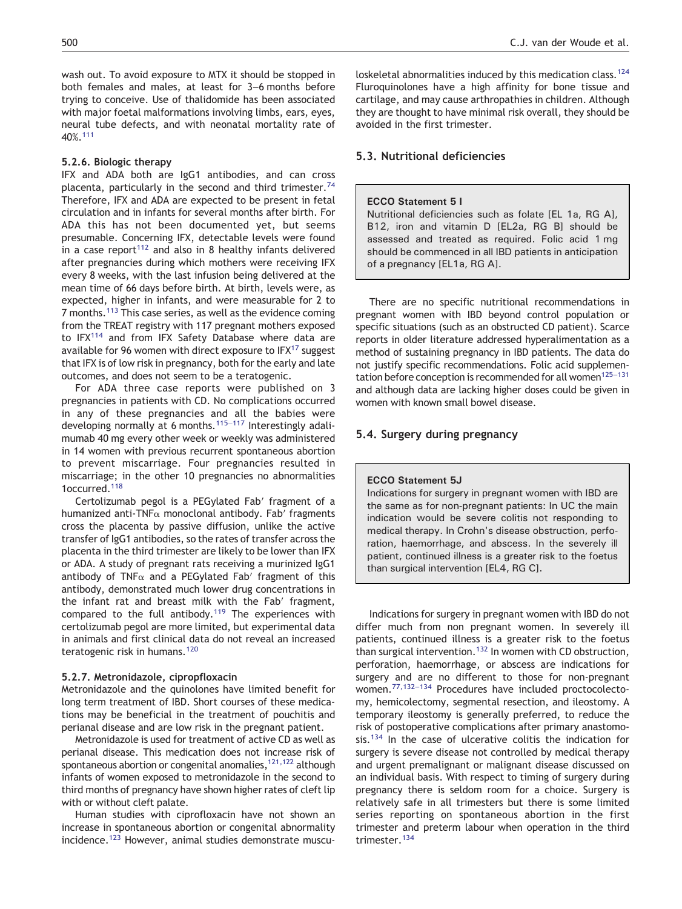wash out. To avoid exposure to MTX it should be stopped in both females and males, at least for 3–6 months before trying to conceive. Use of thalidomide has been associated with major foetal malformations involving limbs, ears, eyes, neural tube defects, and with neonatal mortality rate of 40%.[111](#page-14-0)

#### 5.2.6. Biologic therapy

IFX and ADA both are IgG1 antibodies, and can cross placenta, particularly in the second and third trimester.<sup>[74](#page-14-0)</sup> Therefore, IFX and ADA are expected to be present in fetal circulation and in infants for several months after birth. For ADA this has not been documented yet, but seems presumable. Concerning IFX, detectable levels were found in a case report<sup>[112](#page-14-0)</sup> and also in 8 healthy infants delivered after pregnancies during which mothers were receiving IFX every 8 weeks, with the last infusion being delivered at the mean time of 66 days before birth. At birth, levels were, as expected, higher in infants, and were measurable for 2 to 7 months.[113](#page-15-0) This case series, as well as the evidence coming from the TREAT registry with 117 pregnant mothers exposed to IFX[114](#page-15-0) and from IFX Safety Database where data are available for 96 women with direct exposure to  $IFX<sup>17</sup>$  $IFX<sup>17</sup>$  $IFX<sup>17</sup>$  suggest that IFX is of low risk in pregnancy, both for the early and late outcomes, and does not seem to be a teratogenic.

For ADA three case reports were published on 3 pregnancies in patients with CD. No complications occurred in any of these pregnancies and all the babies were developing normally at 6 months.115–[117](#page-15-0) Interestingly adalimumab 40 mg every other week or weekly was administered in 14 women with previous recurrent spontaneous abortion to prevent miscarriage. Four pregnancies resulted in miscarriage; in the other 10 pregnancies no abnormalities 1occurred.<sup>[118](#page-15-0)</sup>

Certolizumab pegol is a PEGylated Fab′ fragment of a humanized anti-TNFα monoclonal antibody. Fab′ fragments cross the placenta by passive diffusion, unlike the active transfer of IgG1 antibodies, so the rates of transfer across the placenta in the third trimester are likely to be lower than IFX or ADA. A study of pregnant rats receiving a murinized IgG1 antibody of TNF $\alpha$  and a PEGylated Fab' fragment of this antibody, demonstrated much lower drug concentrations in the infant rat and breast milk with the Fab′ fragment, compared to the full antibody.<sup>[119](#page-15-0)</sup> The experiences with certolizumab pegol are more limited, but experimental data in animals and first clinical data do not reveal an increased teratogenic risk in humans.<sup>[120](#page-15-0)</sup>

#### 5.2.7. Metronidazole, cipropfloxacin

Metronidazole and the quinolones have limited benefit for long term treatment of IBD. Short courses of these medications may be beneficial in the treatment of pouchitis and perianal disease and are low risk in the pregnant patient.

Metronidazole is used for treatment of active CD as well as perianal disease. This medication does not increase risk of spontaneous abortion or congenital anomalies,  $121,122$  although infants of women exposed to metronidazole in the second to third months of pregnancy have shown higher rates of cleft lip with or without cleft palate.

Human studies with ciprofloxacin have not shown an increase in spontaneous abortion or congenital abnormality incidence.<sup>[123](#page-15-0)</sup> However, animal studies demonstrate musculoskeletal abnormalities induced by this medication class.<sup>[124](#page-15-0)</sup> Fluroquinolones have a high affinity for bone tissue and cartilage, and may cause arthropathies in children. Although they are thought to have minimal risk overall, they should be avoided in the first trimester.

## 5.3. Nutritional deficiencies

#### ECCO Statement 5 I

Nutritional deficiencies such as folate [EL 1a, RG A], B12, iron and vitamin D [EL2a, RG B] should be assessed and treated as required. Folic acid 1 mg should be commenced in all IBD patients in anticipation of a pregnancy [EL1a, RG A].

There are no specific nutritional recommendations in pregnant women with IBD beyond control population or specific situations (such as an obstructed CD patient). Scarce reports in older literature addressed hyperalimentation as a method of sustaining pregnancy in IBD patients. The data do not justify specific recommendations. Folic acid supplementation before conception is recommended for all women<sup>125-131</sup> and although data are lacking higher doses could be given in women with known small bowel disease.

## 5.4. Surgery during pregnancy

## ECCO Statement 5J

Indications for surgery in pregnant women with IBD are the same as for non-pregnant patients: In UC the main indication would be severe colitis not responding to medical therapy. In Crohn's disease obstruction, perforation, haemorrhage, and abscess. In the severely ill patient, continued illness is a greater risk to the foetus than surgical intervention [EL4, RG C].

Indications for surgery in pregnant women with IBD do not differ much from non pregnant women. In severely ill patients, continued illness is a greater risk to the foetus than surgical intervention.<sup>[132](#page-15-0)</sup> In women with CD obstruction, perforation, haemorrhage, or abscess are indications for surgery and are no different to those for non-pregnant women.[77,132](#page-14-0)–<sup>134</sup> Procedures have included proctocolectomy, hemicolectomy, segmental resection, and ileostomy. A temporary ileostomy is generally preferred, to reduce the risk of postoperative complications after primary anastomo-sis.<sup>[134](#page-15-0)</sup> In the case of ulcerative colitis the indication for surgery is severe disease not controlled by medical therapy and urgent premalignant or malignant disease discussed on an individual basis. With respect to timing of surgery during pregnancy there is seldom room for a choice. Surgery is relatively safe in all trimesters but there is some limited series reporting on spontaneous abortion in the first trimester and preterm labour when operation in the third trimester.[134](#page-15-0)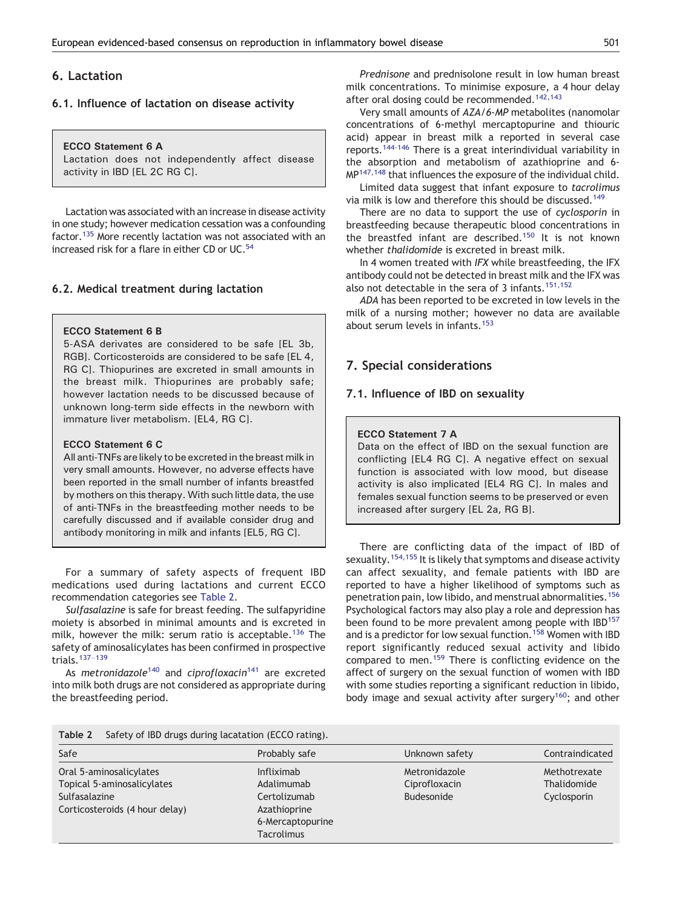# 6. Lactation

# 6.1. Influence of lactation on disease activity

ECCO Statement 6 A Lactation does not independently affect disease activity in IBD [EL 2C RG C].

Lactation was associated with an increase in disease activity in one study; however medication cessation was a confounding factor.<sup>[135](#page-15-0)</sup> More recently lactation was not associated with an increased risk for a flare in either CD or UC.<sup>[54](#page-13-0)</sup>

# 6.2. Medical treatment during lactation

## ECCO Statement 6 B

5-ASA derivates are considered to be safe [EL 3b, RGB]. Corticosteroids are considered to be safe [EL 4, RG C]. Thiopurines are excreted in small amounts in the breast milk. Thiopurines are probably safe; however lactation needs to be discussed because of unknown long-term side effects in the newborn with immature liver metabolism. [EL4, RG C].

## ECCO Statement 6 C

All anti-TNFs are likely to be excreted in the breast milk in very small amounts. However, no adverse effects have been reported in the small number of infants breastfed by mothers on this therapy. With such little data, the use of anti-TNFs in the breastfeeding mother needs to be carefully discussed and if available consider drug and antibody monitoring in milk and infants [EL5, RG C].

For a summary of safety aspects of frequent IBD medications used during lactations and current ECCO recommendation categories see Table 2.

Sulfasalazine is safe for breast feeding. The sulfapyridine moiety is absorbed in minimal amounts and is excreted in milk, however the milk: serum ratio is acceptable.<sup>[136](#page-15-0)</sup> The safety of aminosalicylates has been confirmed in prospective trials.[137](#page-15-0)–<sup>139</sup>

As metronidazole<sup>[140](#page-15-0)</sup> and ciprofloxacin<sup>[141](#page-15-0)</sup> are excreted into milk both drugs are not considered as appropriate during the breastfeeding period.

Prednisone and prednisolone result in low human breast milk concentrations. To minimise exposure, a 4 hour delay after oral dosing could be recommended.<sup>[142,143](#page-15-0)</sup>

Very small amounts of AZA/6-MP metabolites (nanomolar concentrations of 6-methyl mercaptopurine and thiouric acid) appear in breast milk a reported in several case reports.[144-146](#page-15-0) There is a great interindividual variability in the absorption and metabolism of azathioprine and 6- MP<sup>[147,148](#page-15-0)</sup> that influences the exposure of the individual child.

Limited data suggest that infant exposure to tacrolimus via milk is low and therefore this should be discussed.[149](#page-15-0)

There are no data to support the use of cyclosporin in breastfeeding because therapeutic blood concentrations in the breastfed infant are described.<sup>[150](#page-15-0)</sup> It is not known whether thalidomide is excreted in breast milk.

In 4 women treated with IFX while breastfeeding, the IFX antibody could not be detected in breast milk and the IFX was also not detectable in the sera of 3 infants.<sup>[151,152](#page-15-0)</sup>

ADA has been reported to be excreted in low levels in the milk of a nursing mother; however no data are available about serum levels in infants.[153](#page-15-0)

# 7. Special considerations

## 7.1. Influence of IBD on sexuality

## ECCO Statement 7 A

Data on the effect of IBD on the sexual function are conflicting [EL4 RG C]. A negative effect on sexual function is associated with low mood, but disease activity is also implicated [EL4 RG C]. In males and females sexual function seems to be preserved or even increased after surgery [EL 2a, RG B].

There are conflicting data of the impact of IBD of sexuality.<sup>[154,155](#page-15-0)</sup> It is likely that symptoms and disease activity can affect sexuality, and female patients with IBD are reported to have a higher likelihood of symptoms such as penetration pain, low libido, and menstrual abnormalities.[156](#page-15-0) Psychological factors may also play a role and depression has been found to be more prevalent among people with IBD<sup>[157](#page-15-0)</sup> and is a predictor for low sexual function.<sup>[158](#page-15-0)</sup> Women with IBD report significantly reduced sexual activity and libido compared to men.<sup>[159](#page-16-0)</sup> There is conflicting evidence on the affect of surgery on the sexual function of women with IBD with some studies reporting a significant reduction in libido, body image and sexual activity after surgery<sup>[160](#page-16-0)</sup>; and other

| Safety of IBD drugs during lacatation (ECCO rating).<br>Table 2                                          |                                                                                                   |                                              |                                            |  |  |  |
|----------------------------------------------------------------------------------------------------------|---------------------------------------------------------------------------------------------------|----------------------------------------------|--------------------------------------------|--|--|--|
| Safe                                                                                                     | Probably safe                                                                                     | Unknown safety                               | Contraindicated                            |  |  |  |
| Oral 5-aminosalicylates<br>Topical 5-aminosalicylates<br>Sulfasalazine<br>Corticosteroids (4 hour delay) | Infliximab<br>Adalimumab<br>Certolizumab<br>Azathioprine<br>6-Mercaptopurine<br><b>Tacrolimus</b> | Metronidazole<br>Ciprofloxacin<br>Budesonide | Methotrexate<br>Thalidomide<br>Cyclosporin |  |  |  |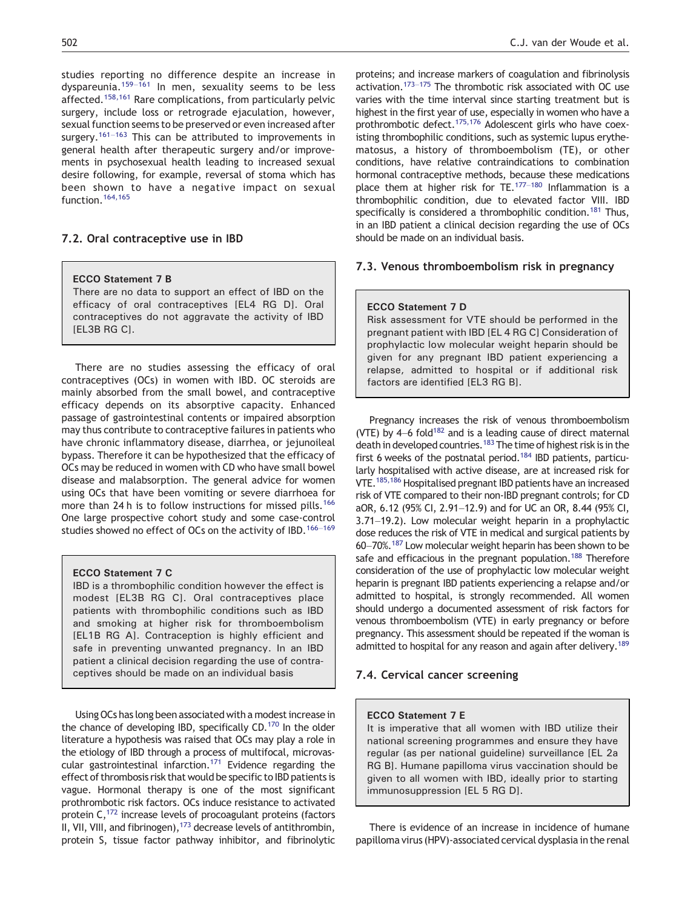studies reporting no difference despite an increase in dyspareunia.<sup>159–[161](#page-16-0)</sup> In men, sexuality seems to be less affected.<sup>[158,161](#page-15-0)</sup> Rare complications, from particularly pelvic surgery, include loss or retrograde ejaculation, however, sexual function seems to be preserved or even increased after surgery.<sup>[161](#page-16-0)–163</sup> This can be attributed to improvements in general health after therapeutic surgery and/or improvements in psychosexual health leading to increased sexual desire following, for example, reversal of stoma which has been shown to have a negative impact on sexual function.<sup>[164,165](#page-16-0)</sup>

## 7.2. Oral contraceptive use in IBD

## ECCO Statement 7 B

There are no data to support an effect of IBD on the efficacy of oral contraceptives [EL4 RG D]. Oral contraceptives do not aggravate the activity of IBD [EL3B RG C].

There are no studies assessing the efficacy of oral contraceptives (OCs) in women with IBD. OC steroids are mainly absorbed from the small bowel, and contraceptive efficacy depends on its absorptive capacity. Enhanced passage of gastrointestinal contents or impaired absorption may thus contribute to contraceptive failures in patients who have chronic inflammatory disease, diarrhea, or jejunoileal bypass. Therefore it can be hypothesized that the efficacy of OCs may be reduced in women with CD who have small bowel disease and malabsorption. The general advice for women using OCs that have been vomiting or severe diarrhoea for more than 24 h is to follow instructions for missed pills.<sup>[166](#page-16-0)</sup> One large prospective cohort study and some case-control studies showed no effect of OCs on the activity of IBD.<sup>166-[169](#page-16-0)</sup>

#### ECCO Statement 7 C

IBD is a thrombophilic condition however the effect is modest [EL3B RG C]. Oral contraceptives place patients with thrombophilic conditions such as IBD and smoking at higher risk for thromboembolism [EL1B RG A]. Contraception is highly efficient and safe in preventing unwanted pregnancy. In an IBD patient a clinical decision regarding the use of contraceptives should be made on an individual basis

Using OCs has long been associated with a modest increase in the chance of developing IBD, specifically  $CD.^{170}$  $CD.^{170}$  $CD.^{170}$  In the older literature a hypothesis was raised that OCs may play a role in the etiology of IBD through a process of multifocal, microvascular gastrointestinal infarction.<sup>171</sup> Evidence regarding the effect of thrombosis risk that would be specific to IBD patients is vague. Hormonal therapy is one of the most significant prothrombotic risk factors. OCs induce resistance to activated protein C[,172](#page-16-0) increase levels of procoagulant proteins (factors II, VII, VIII, and fibrinogen),  $173$  decrease levels of antithrombin, protein S, tissue factor pathway inhibitor, and fibrinolytic

proteins; and increase markers of coagulation and fibrinolysis activation[.173](#page-16-0)–<sup>175</sup> The thrombotic risk associated with OC use varies with the time interval since starting treatment but is highest in the first year of use, especially in women who have a prothrombotic defect.<sup>[175,176](#page-16-0)</sup> Adolescent girls who have coexisting thrombophilic conditions, such as systemic lupus erythematosus, a history of thromboembolism (TE), or other conditions, have relative contraindications to combination hormonal contraceptive methods, because these medications place them at higher risk for  $TE.^{177-180}$  $TE.^{177-180}$  $TE.^{177-180}$  Inflammation is a thrombophilic condition, due to elevated factor VIII. IBD specifically is considered a thrombophilic condition.<sup>181</sup> Thus, in an IBD patient a clinical decision regarding the use of OCs should be made on an individual basis.

## 7.3. Venous thromboembolism risk in pregnancy

#### ECCO Statement 7 D

Risk assessment for VTE should be performed in the pregnant patient with IBD [EL 4 RG C] Consideration of prophylactic low molecular weight heparin should be given for any pregnant IBD patient experiencing a relapse, admitted to hospital or if additional risk factors are identified [EL3 RG B].

Pregnancy increases the risk of venous thromboembolism (VTE) by  $4-6$  fold<sup>182</sup> and is a leading cause of direct maternal death in developed countries.<sup>183</sup> The time of highest risk is in the first 6 weeks of the postnatal period[.184](#page-16-0) IBD patients, particularly hospitalised with active disease, are at increased risk for VTE[.185,186](#page-16-0) Hospitalised pregnant IBD patients have an increased risk of VTE compared to their non-IBD pregnant controls; for CD aOR, 6.12 (95% CI, 2.91–12.9) and for UC an OR, 8.44 (95% CI, 3.71–19.2). Low molecular weight heparin in a prophylactic dose reduces the risk of VTE in medical and surgical patients by 60–70%[.187](#page-16-0) Low molecular weight heparin has been shown to be safe and efficacious in the pregnant population.<sup>[188](#page-16-0)</sup> Therefore consideration of the use of prophylactic low molecular weight heparin is pregnant IBD patients experiencing a relapse and/or admitted to hospital, is strongly recommended. All women should undergo a documented assessment of risk factors for venous thromboembolism (VTE) in early pregnancy or before pregnancy. This assessment should be repeated if the woman is admitted to hospital for any reason and again after delivery.<sup>[189](#page-16-0)</sup>

# 7.4. Cervical cancer screening

#### ECCO Statement 7 E

It is imperative that all women with IBD utilize their national screening programmes and ensure they have regular (as per national guideline) surveillance [EL 2a RG B]. Humane papilloma virus vaccination should be given to all women with IBD, ideally prior to starting immunosuppression [EL 5 RG D].

There is evidence of an increase in incidence of humane papilloma virus (HPV)-associated cervical dysplasia in the renal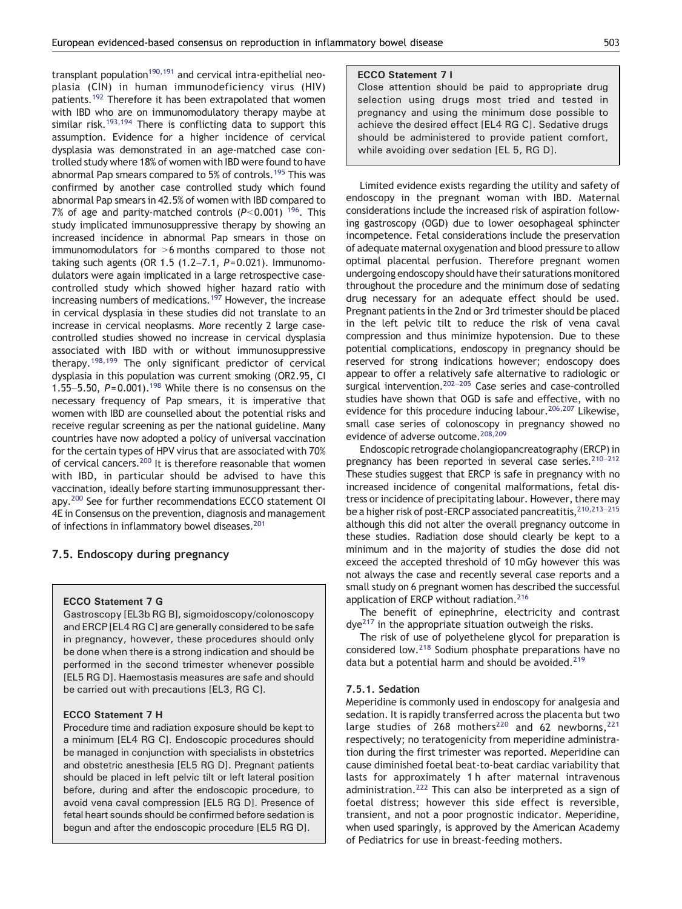transplant population<sup>190,191</sup> and cervical intra-epithelial neoplasia (CIN) in human immunodeficiency virus (HIV) patients[.192](#page-16-0) Therefore it has been extrapolated that women with IBD who are on immunomodulatory therapy maybe at similar risk.<sup>[193,194](#page-16-0)</sup> There is conflicting data to support this assumption. Evidence for a higher incidence of cervical dysplasia was demonstrated in an age-matched case controlled study where 18% of women with IBD were found to have abnormal Pap smears compared to 5% of controls.<sup>195</sup> This was confirmed by another case controlled study which found abnormal Pap smears in 42.5% of women with IBD compared to 7% of age and parity-matched controls  $(P< 0.001)$  <sup>[196](#page-16-0)</sup>. This study implicated immunosuppressive therapy by showing an increased incidence in abnormal Pap smears in those on immunomodulators for  $>6$  months compared to those not taking such agents (OR 1.5  $(1.2-7.1, P= 0.021)$ . Immunomodulators were again implicated in a large retrospective casecontrolled study which showed higher hazard ratio with increasing numbers of medications.<sup>[197](#page-17-0)</sup> However, the increase in cervical dysplasia in these studies did not translate to an increase in cervical neoplasms. More recently 2 large casecontrolled studies showed no increase in cervical dysplasia associated with IBD with or without immunosuppressive therapy.<sup>[198,199](#page-17-0)</sup> The only significant predictor of cervical dysplasia in this population was current smoking (OR2.95, CI 1.55–5.50,  $P = 0.001$ .<sup>[198](#page-17-0)</sup> While there is no consensus on the necessary frequency of Pap smears, it is imperative that women with IBD are counselled about the potential risks and receive regular screening as per the national guideline. Many countries have now adopted a policy of universal vaccination for the certain types of HPV virus that are associated with 70% of cervical cancers.<sup>200</sup> It is therefore reasonable that women with IBD, in particular should be advised to have this vaccination, ideally before starting immunosuppressant therapy[.200](#page-17-0) See for further recommendations ECCO statement OI 4E in Consensus on the prevention, diagnosis and management of infections in inflammatory bowel diseases.<sup>201</sup>

# 7.5. Endoscopy during pregnancy

ECCO Statement 7 G

Gastroscopy [EL3b RG B], sigmoidoscopy/colonoscopy and ERCP [EL4 RG C] are generally considered to be safe in pregnancy, however, these procedures should only be done when there is a strong indication and should be performed in the second trimester whenever possible [EL5 RG D]. Haemostasis measures are safe and should be carried out with precautions [EL3, RG C].

# ECCO Statement 7 H

Procedure time and radiation exposure should be kept to a minimum [EL4 RG C]. Endoscopic procedures should be managed in conjunction with specialists in obstetrics and obstetric anesthesia [EL5 RG D]. Pregnant patients should be placed in left pelvic tilt or left lateral position before, during and after the endoscopic procedure, to avoid vena caval compression [EL5 RG D]. Presence of fetal heart sounds should be confirmed before sedation is begun and after the endoscopic procedure [EL5 RG D].

## ECCO Statement 7 I

Close attention should be paid to appropriate drug selection using drugs most tried and tested in pregnancy and using the minimum dose possible to achieve the desired effect [EL4 RG C]. Sedative drugs should be administered to provide patient comfort, while avoiding over sedation [EL 5, RG D].

Limited evidence exists regarding the utility and safety of endoscopy in the pregnant woman with IBD. Maternal considerations include the increased risk of aspiration following gastroscopy (OGD) due to lower oesophageal sphincter incompetence. Fetal considerations include the preservation of adequate maternal oxygenation and blood pressure to allow optimal placental perfusion. Therefore pregnant women undergoing endoscopy should have their saturations monitored throughout the procedure and the minimum dose of sedating drug necessary for an adequate effect should be used. Pregnant patients in the 2nd or 3rd trimester should be placed in the left pelvic tilt to reduce the risk of vena caval compression and thus minimize hypotension. Due to these potential complications, endoscopy in pregnancy should be reserved for strong indications however; endoscopy does appear to offer a relatively safe alternative to radiologic or surgical intervention.<sup>202–205</sup> Case series and case-controlled studies have shown that OGD is safe and effective, with no evidence for this procedure inducing labour.<sup>206,207</sup> Likewise, small case series of colonoscopy in pregnancy showed no evidence of adverse outcome.<sup>[208,209](#page-17-0)</sup>

Endoscopic retrograde cholangiopancreatography (ERCP) in pregnancy has been reported in several case series.<sup>[210](#page-17-0)-212</sup> These studies suggest that ERCP is safe in pregnancy with no increased incidence of congenital malformations, fetal distress or incidence of precipitating labour. However, there may be a higher risk of post-ERCP associated pancreatitis, <sup>210,213-215</sup> although this did not alter the overall pregnancy outcome in these studies. Radiation dose should clearly be kept to a minimum and in the majority of studies the dose did not exceed the accepted threshold of 10 mGy however this was not always the case and recently several case reports and a small study on 6 pregnant women has described the successful application of ERCP without radiation.<sup>[216](#page-17-0)</sup>

The benefit of epinephrine, electricity and contrast  $dye^{217}$  $dye^{217}$  $dye^{217}$  in the appropriate situation outweigh the risks.

The risk of use of polyethelene glycol for preparation is considered low[.218](#page-17-0) Sodium phosphate preparations have no data but a potential harm and should be avoided.<sup>[219](#page-17-0)</sup>

## 7.5.1. Sedation

Meperidine is commonly used in endoscopy for analgesia and sedation. It is rapidly transferred across the placenta but two large studies of 268 mothers<sup>[220](#page-17-0)</sup> and 62 newborns,  $221$ respectively; no teratogenicity from meperidine administration during the first trimester was reported. Meperidine can cause diminished foetal beat-to-beat cardiac variability that lasts for approximately 1 h after maternal intravenous administration.<sup>[222](#page-17-0)</sup> This can also be interpreted as a sign of foetal distress; however this side effect is reversible, transient, and not a poor prognostic indicator. Meperidine, when used sparingly, is approved by the American Academy of Pediatrics for use in breast-feeding mothers.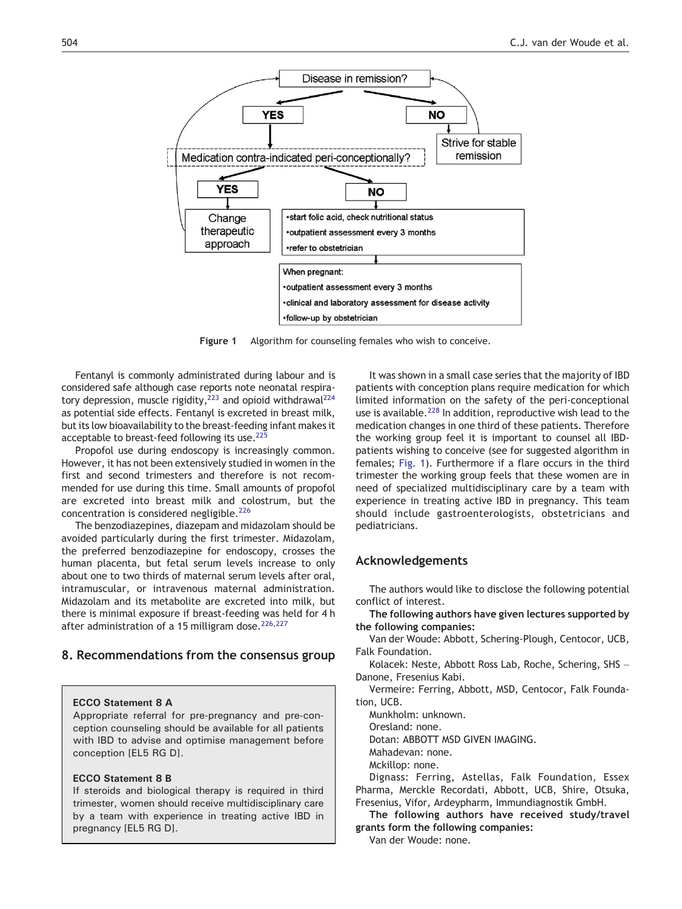

Figure 1 Algorithm for counseling females who wish to conceive.

Fentanyl is commonly administrated during labour and is considered safe although case reports note neonatal respiratory depression, muscle rigidity,<sup>223</sup> and opioid withdrawal<sup>224</sup> as potential side effects. Fentanyl is excreted in breast milk, but its low bioavailability to the breast-feeding infant makes it acceptable to breast-feed following its use.<sup>225</sup>

Propofol use during endoscopy is increasingly common. However, it has not been extensively studied in women in the first and second trimesters and therefore is not recommended for use during this time. Small amounts of propofol are excreted into breast milk and colostrum, but the concentration is considered negligible.<sup>[226](#page-17-0)</sup>

The benzodiazepines, diazepam and midazolam should be avoided particularly during the first trimester. Midazolam, the preferred benzodiazepine for endoscopy, crosses the human placenta, but fetal serum levels increase to only about one to two thirds of maternal serum levels after oral, intramuscular, or intravenous maternal administration. Midazolam and its metabolite are excreted into milk, but there is minimal exposure if breast-feeding was held for 4 h after administration of a 15 milligram dose.<sup>[226,227](#page-17-0)</sup>

# 8. Recommendations from the consensus group

## ECCO Statement 8 A

Appropriate referral for pre-pregnancy and pre-conception counseling should be available for all patients with IBD to advise and optimise management before conception [EL5 RG D].

## ECCO Statement 8 B

If steroids and biological therapy is required in third trimester, women should receive multidisciplinary care by a team with experience in treating active IBD in pregnancy [EL5 RG D].

It was shown in a small case series that the majority of IBD patients with conception plans require medication for which limited information on the safety of the peri-conceptional use is available.<sup>[228](#page-17-0)</sup> In addition, reproductive wish lead to the medication changes in one third of these patients. Therefore the working group feel it is important to counsel all IBDpatients wishing to conceive (see for suggested algorithm in females; Fig. 1). Furthermore if a flare occurs in the third trimester the working group feels that these women are in need of specialized multidisciplinary care by a team with experience in treating active IBD in pregnancy. This team should include gastroenterologists, obstetricians and pediatricians.

# Acknowledgements

The authors would like to disclose the following potential conflict of interest.

The following authors have given lectures supported by the following companies:

Van der Woude: Abbott, Schering-Plough, Centocor, UCB, Falk Foundation.

Kolacek: Neste, Abbott Ross Lab, Roche, Schering, SHS – Danone, Fresenius Kabi.

Vermeire: Ferring, Abbott, MSD, Centocor, Falk Foundation, UCB.

Munkholm: unknown.

Oresland: none.

Dotan: ABBOTT MSD GIVEN IMAGING.

Mahadevan: none.

Mckillop: none.

Dignass: Ferring, Astellas, Falk Foundation, Essex Pharma, Merckle Recordati, Abbott, UCB, Shire, Otsuka, Fresenius, Vifor, Ardeypharm, Immundiagnostik GmbH.

The following authors have received study/travel grants form the following companies:

Van der Woude: none.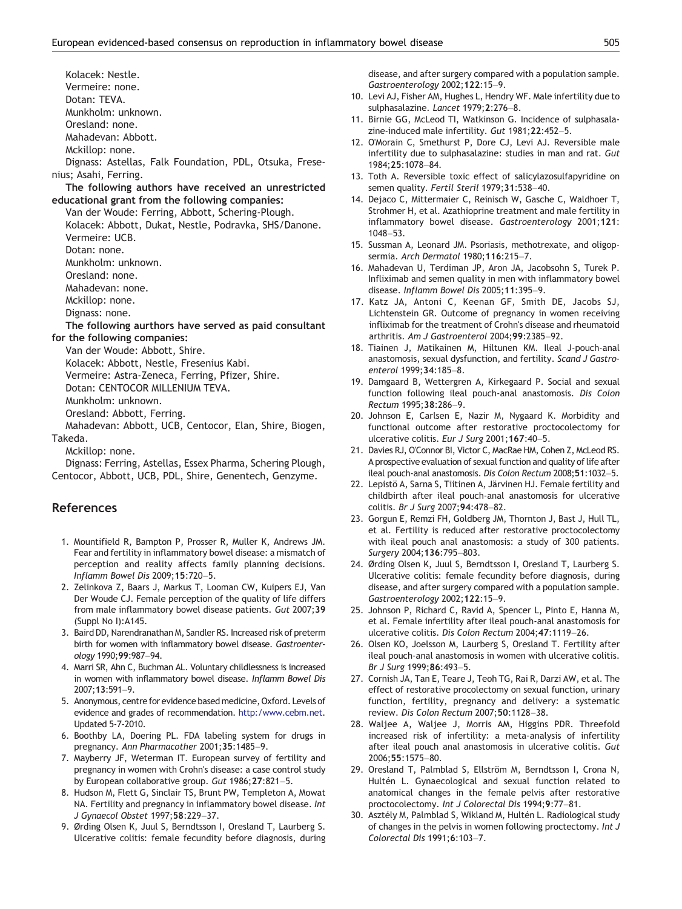<span id="page-12-0"></span>Kolacek: Nestle. Vermeire: none. Dotan: TEVA. Munkholm: unknown. Oresland: none. Mahadevan: Abbott. Mckillop: none. Dignass: Astellas, Falk Foundation, PDL, Otsuka, Fresenius; Asahi, Ferring. The following authors have received an unrestricted educational grant from the following companies: Van der Woude: Ferring, Abbott, Schering-Plough. Kolacek: Abbott, Dukat, Nestle, Podravka, SHS/Danone. Vermeire: UCB. Dotan: none. Munkholm: unknown. Oresland: none. Mahadevan: none. Mckillop: none. Dignass: none. The following aurthors have served as paid consultant for the following companies: Van der Woude: Abbott, Shire. Kolacek: Abbott, Nestle, Fresenius Kabi. Vermeire: Astra-Zeneca, Ferring, Pfizer, Shire. Dotan: CENTOCOR MILLENIUM TEVA. Munkholm: unknown. Oresland: Abbott, Ferring. Mahadevan: Abbott, UCB, Centocor, Elan, Shire, Biogen,

Takeda.

Mckillop: none.

Dignass: Ferring, Astellas, Essex Pharma, Schering Plough, Centocor, Abbott, UCB, PDL, Shire, Genentech, Genzyme.

# References

- 1. Mountifield R, Bampton P, Prosser R, Muller K, Andrews JM. Fear and fertility in inflammatory bowel disease: a mismatch of perception and reality affects family planning decisions. Inflamm Bowel Dis 2009;15:720–5.
- 2. Zelinkova Z, Baars J, Markus T, Looman CW, Kuipers EJ, Van Der Woude CJ. Female perception of the quality of life differs from male inflammatory bowel disease patients. Gut 2007;39 (Suppl No I):A145.
- 3. Baird DD, Narendranathan M, Sandler RS. Increased risk of preterm birth for women with inflammatory bowel disease. Gastroenterology 1990;99:987–94.
- 4. Marri SR, Ahn C, Buchman AL. Voluntary childlessness is increased in women with inflammatory bowel disease. Inflamm Bowel Dis 2007;13:591–9.
- 5. Anonymous, centre for evidence based medicine, Oxford. Levels of evidence and grades of recommendation. http:/www.cebm.net. Updated 5-7-2010.
- 6. Boothby LA, Doering PL. FDA labeling system for drugs in pregnancy. Ann Pharmacother 2001;35:1485–9.
- 7. Mayberry JF, Weterman IT. European survey of fertility and pregnancy in women with Crohn's disease: a case control study by European collaborative group. Gut 1986;27:821-5.
- 8. Hudson M, Flett G, Sinclair TS, Brunt PW, Templeton A, Mowat NA. Fertility and pregnancy in inflammatory bowel disease. Int J Gynaecol Obstet 1997;58:229–37.
- 9. Ørding Olsen K, Juul S, Berndtsson I, Oresland T, Laurberg S. Ulcerative colitis: female fecundity before diagnosis, during

disease, and after surgery compared with a population sample. Gastroenterology 2002;122:15–9.

- 10. Levi AJ, Fisher AM, Hughes L, Hendry WF. Male infertility due to sulphasalazine. Lancet 1979;2:276–8.
- 11. Birnie GG, McLeod TI, Watkinson G. Incidence of sulphasalazine-induced male infertility. Gut 1981;22:452–5.
- 12. O'Morain C, Smethurst P, Dore CJ, Levi AJ. Reversible male infertility due to sulphasalazine: studies in man and rat. Gut 1984;25:1078–84.
- 13. Toth A. Reversible toxic effect of salicylazosulfapyridine on semen quality. Fertil Steril 1979;31:538-40.
- 14. Dejaco C, Mittermaier C, Reinisch W, Gasche C, Waldhoer T, Strohmer H, et al. Azathioprine treatment and male fertility in inflammatory bowel disease. Gastroenterology 2001;121: 1048–53.
- 15. Sussman A, Leonard JM. Psoriasis, methotrexate, and oligopsermia. Arch Dermatol 1980;116:215–7.
- 16. Mahadevan U, Terdiman JP, Aron JA, Jacobsohn S, Turek P. Infliximab and semen quality in men with inflammatory bowel disease. Inflamm Bowel Dis 2005;11:395–9.
- 17. Katz JA, Antoni C, Keenan GF, Smith DE, Jacobs SJ, Lichtenstein GR. Outcome of pregnancy in women receiving infliximab for the treatment of Crohn's disease and rheumatoid arthritis. Am J Gastroenterol 2004;99:2385–92.
- 18. Tiainen J, Matikainen M, Hiltunen KM. Ileal J-pouch-anal anastomosis, sexual dysfunction, and fertility. Scand J Gastroenterol 1999;34:185–8.
- 19. Damgaard B, Wettergren A, Kirkegaard P. Social and sexual function following ileal pouch-anal anastomosis. Dis Colon Rectum 1995;38:286–9.
- 20. Johnson E, Carlsen E, Nazir M, Nygaard K. Morbidity and functional outcome after restorative proctocolectomy for ulcerative colitis. Eur J Surg 2001;167:40–5.
- 21. Davies RJ, O'Connor BI, Victor C, MacRae HM, Cohen Z, McLeod RS. A prospective evaluation of sexual function and quality of life after ileal pouch-anal anastomosis. Dis Colon Rectum 2008;51:1032–5.
- 22. Lepistö A, Sarna S, Tiitinen A, Järvinen HJ. Female fertility and childbirth after ileal pouch-anal anastomosis for ulcerative colitis. Br J Surg 2007;94:478–82.
- 23. Gorgun E, Remzi FH, Goldberg JM, Thornton J, Bast J, Hull TL, et al. Fertility is reduced after restorative proctocolectomy with ileal pouch anal anastomosis: a study of 300 patients. Surgery 2004;136:795–803.
- 24. Ørding Olsen K, Juul S, Berndtsson I, Oresland T, Laurberg S. Ulcerative colitis: female fecundity before diagnosis, during disease, and after surgery compared with a population sample. Gastroenterology 2002;122:15–9.
- 25. Johnson P, Richard C, Ravid A, Spencer L, Pinto E, Hanna M, et al. Female infertility after ileal pouch-anal anastomosis for ulcerative colitis. Dis Colon Rectum 2004;47:1119–26.
- 26. Olsen KO, Joelsson M, Laurberg S, Oresland T. Fertility after ileal pouch-anal anastomosis in women with ulcerative colitis. Br J Surg 1999;86:493–5.
- 27. Cornish JA, Tan E, Teare J, Teoh TG, Rai R, Darzi AW, et al. The effect of restorative procolectomy on sexual function, urinary function, fertility, pregnancy and delivery: a systematic review. Dis Colon Rectum 2007;50:1128–38.
- 28. Waljee A, Waljee J, Morris AM, Higgins PDR. Threefold increased risk of infertility: a meta-analysis of infertility after ileal pouch anal anastomosis in ulcerative colitis. Gut 2006;55:1575–80.
- 29. Oresland T, Palmblad S, Ellström M, Berndtsson I, Crona N, Hultén L. Gynaecological and sexual function related to anatomical changes in the female pelvis after restorative proctocolectomy. Int J Colorectal Dis 1994;9:77–81.
- 30. Asztély M, Palmblad S, Wikland M, Hultén L. Radiological study of changes in the pelvis in women following proctectomy. Int J Colorectal Dis 1991;6:103–7.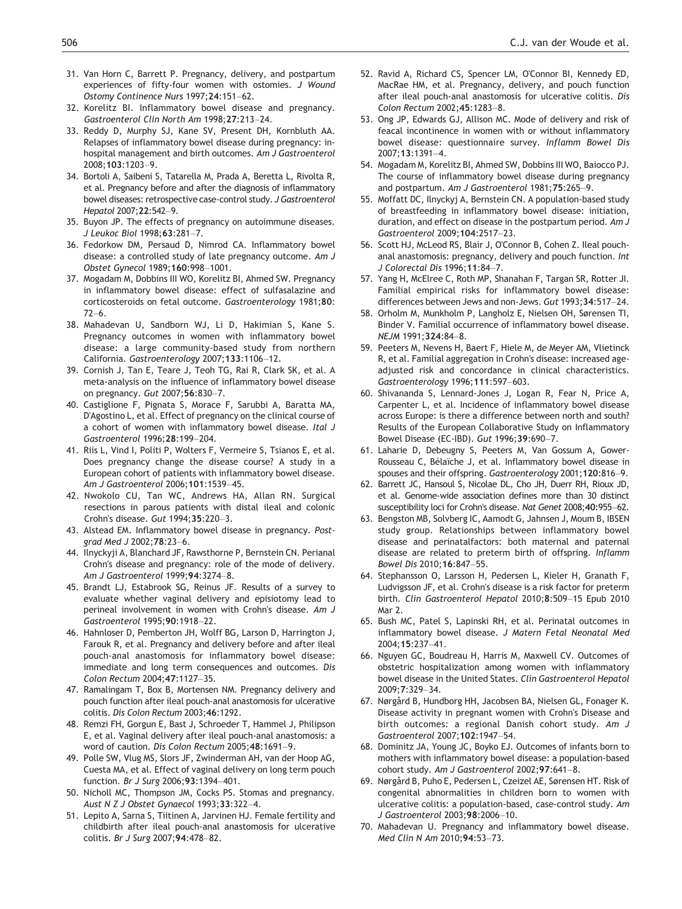- <span id="page-13-0"></span>31. Van Horn C, Barrett P. Pregnancy, delivery, and postpartum experiences of fifty-four women with ostomies. J Wound Ostomy Continence Nurs 1997;24:151–62.
- 32. Korelitz BI. Inflammatory bowel disease and pregnancy. Gastroenterol Clin North Am 1998;27:213–24.
- 33. Reddy D, Murphy SJ, Kane SV, Present DH, Kornbluth AA. Relapses of inflammatory bowel disease during pregnancy: inhospital management and birth outcomes. Am J Gastroenterol 2008;103:1203–9.
- 34. Bortoli A, Saibeni S, Tatarella M, Prada A, Beretta L, Rivolta R, et al. Pregnancy before and after the diagnosis of inflammatory bowel diseases: retrospective case-control study. J Gastroenterol Hepatol 2007;22:542–9.
- 35. Buyon JP. The effects of pregnancy on autoimmune diseases. J Leukoc Biol 1998;63:281–7.
- 36. Fedorkow DM, Persaud D, Nimrod CA. Inflammatory bowel disease: a controlled study of late pregnancy outcome. Am J Obstet Gynecol 1989;160:998–1001.
- 37. Mogadam M, Dobbins III WO, Korelitz BI, Ahmed SW. Pregnancy in inflammatory bowel disease: effect of sulfasalazine and corticosteroids on fetal outcome. Gastroenterology 1981;80:  $72–6.$
- 38. Mahadevan U, Sandborn WJ, Li D, Hakimian S, Kane S. Pregnancy outcomes in women with inflammatory bowel disease: a large community-based study from northern California. Gastroenterology 2007;133:1106–12.
- 39. Cornish J, Tan E, Teare J, Teoh TG, Rai R, Clark SK, et al. A meta-analysis on the influence of inflammatory bowel disease on pregnancy. Gut 2007;56:830–7.
- 40. Castiglione F, Pignata S, Morace F, Sarubbi A, Baratta MA, D'Agostino L, et al. Effect of pregnancy on the clinical course of a cohort of women with inflammatory bowel disease. Ital J Gastroenterol 1996;28:199–204.
- 41. Riis L, Vind I, Politi P, Wolters F, Vermeire S, Tsianos E, et al. Does pregnancy change the disease course? A study in a European cohort of patients with inflammatory bowel disease. Am J Gastroenterol 2006;101:1539–45.
- 42. Nwokolo CU, Tan WC, Andrews HA, Allan RN. Surgical resections in parous patients with distal ileal and colonic Crohn's disease. Gut 1994;35:220–3.
- 43. Alstead EM. Inflammatory bowel disease in pregnancy. Postgrad Med J 2002;78:23–6.
- 44. Ilnyckyji A, Blanchard JF, Rawsthorne P, Bernstein CN. Perianal Crohn's disease and pregnancy: role of the mode of delivery. Am J Gastroenterol 1999;94:3274–8.
- 45. Brandt LJ, Estabrook SG, Reinus JF. Results of a survey to evaluate whether vaginal delivery and episiotomy lead to perineal involvement in women with Crohn's disease. Am J Gastroenterol 1995;90:1918–22.
- 46. Hahnloser D, Pemberton JH, Wolff BG, Larson D, Harrington J, Farouk R, et al. Pregnancy and delivery before and after ileal pouch-anal anastomosis for inflammatory bowel disease: immediate and long term consequences and outcomes. Dis Colon Rectum 2004;47:1127–35.
- 47. Ramalingam T, Box B, Mortensen NM. Pregnancy delivery and pouch function after ileal pouch-anal anastomosis for ulcerative colitis. Dis Colon Rectum 2003;46:1292.
- 48. Remzi FH, Gorgun E, Bast J, Schroeder T, Hammel J, Philipson E, et al. Vaginal delivery after ileal pouch-anal anastomosis: a word of caution. Dis Colon Rectum 2005;48:1691–9.
- 49. Polle SW, Vlug MS, Slors JF, Zwinderman AH, van der Hoop AG, Cuesta MA, et al. Effect of vaginal delivery on long term pouch function. Br J Surg 2006;93:1394–401.
- 50. Nicholl MC, Thompson JM, Cocks PS. Stomas and pregnancy. Aust N Z J Obstet Gynaecol 1993;33:322–4.
- 51. Lepito A, Sarna S, Tiitinen A, Jarvinen HJ. Female fertility and childbirth after ileal pouch-anal anastomosis for ulcerative colitis. Br J Surg 2007;94:478–82.
- 52. Ravid A, Richard CS, Spencer LM, O'Connor BI, Kennedy ED, MacRae HM, et al. Pregnancy, delivery, and pouch function after ileal pouch-anal anastomosis for ulcerative colitis. Dis Colon Rectum 2002;45:1283–8.
- 53. Ong JP, Edwards GJ, Allison MC. Mode of delivery and risk of feacal incontinence in women with or without inflammatory bowel disease: questionnaire survey. Inflamm Bowel Dis 2007;13:1391–4.
- 54. Mogadam M, Korelitz BI, Ahmed SW, Dobbins III WO, Baiocco PJ. The course of inflammatory bowel disease during pregnancy and postpartum. Am J Gastroenterol 1981;75:265–9.
- 55. Moffatt DC, Ilnyckyj A, Bernstein CN. A population-based study of breastfeeding in inflammatory bowel disease: initiation, duration, and effect on disease in the postpartum period. Am J Gastroenterol 2009;104:2517–23.
- 56. Scott HJ, McLeod RS, Blair J, O'Connor B, Cohen Z. Ileal pouchanal anastomosis: pregnancy, delivery and pouch function. Int J Colorectal Dis 1996;11:84–7.
- 57. Yang H, McElree C, Roth MP, Shanahan F, Targan SR, Rotter JI. Familial empirical risks for inflammatory bowel disease: differences between Jews and non-Jews. Gut 1993;34:517–24.
- 58. Orholm M, Munkholm P, Langholz E, Nielsen OH, Sørensen TI, Binder V. Familial occurrence of inflammatory bowel disease. NEJM 1991;324:84–8.
- 59. Peeters M, Nevens H, Baert F, Hiele M, de Meyer AM, Vlietinck R, et al. Familial aggregation in Crohn's disease: increased ageadjusted risk and concordance in clinical characteristics. Gastroenterology 1996;111:597–603.
- 60. Shivananda S, Lennard-Jones J, Logan R, Fear N, Price A, Carpenter L, et al. Incidence of inflammatory bowel disease across Europe: is there a difference between north and south? Results of the European Collaborative Study on Inflammatory Bowel Disease (EC-IBD). Gut 1996;39:690–7.
- 61. Laharie D, Debeugny S, Peeters M, Van Gossum A, Gower-Rousseau C, Bélaïche J, et al. Inflammatory bowel disease in spouses and their offspring. Gastroenterology 2001;120:816–9.
- 62. Barrett JC, Hansoul S, Nicolae DL, Cho JH, Duerr RH, Rioux JD, et al. Genome-wide association defines more than 30 distinct susceptibility loci for Crohn's disease. Nat Genet 2008;40:955–62.
- 63. Bengston MB, Solvberg IC, Aamodt G, Jahnsen J, Moum B, IBSEN study group. Relationships between inflammatory bowel disease and perinatalfactors: both maternal and paternal disease are related to preterm birth of offspring. Inflamm Bowel Dis 2010;16:847–55.
- 64. Stephansson O, Larsson H, Pedersen L, Kieler H, Granath F, Ludvigsson JF, et al. Crohn's disease is a risk factor for preterm birth. Clin Gastroenterol Hepatol 2010;8:509–15 Epub 2010 Mar 2.
- 65. Bush MC, Patel S, Lapinski RH, et al. Perinatal outcomes in inflammatory bowel disease. J Matern Fetal Neonatal Med 2004;15:237–41.
- 66. Nguyen GC, Boudreau H, Harris M, Maxwell CV. Outcomes of obstetric hospitalization among women with inflammatory bowel disease in the United States. Clin Gastroenterol Hepatol 2009;7:329–34.
- 67. Nørgård B, Hundborg HH, Jacobsen BA, Nielsen GL, Fonager K. Disease activity in pregnant women with Crohn's Disease and birth outcomes: a regional Danish cohort study. Am J Gastroenterol 2007;102:1947–54.
- 68. Dominitz JA, Young JC, Boyko EJ. Outcomes of infants born to mothers with inflammatory bowel disease: a population-based cohort study. Am J Gastroenterol 2002;97:641–8.
- 69. Nørgård B, Puho E, Pedersen L, Czeizel AE, Sørensen HT. Risk of congenital abnormalities in children born to women with ulcerative colitis: a population-based, case-control study. Am J Gastroenterol 2003;98:2006–10.
- 70. Mahadevan U. Pregnancy and inflammatory bowel disease. Med Clin N Am 2010;94:53–73.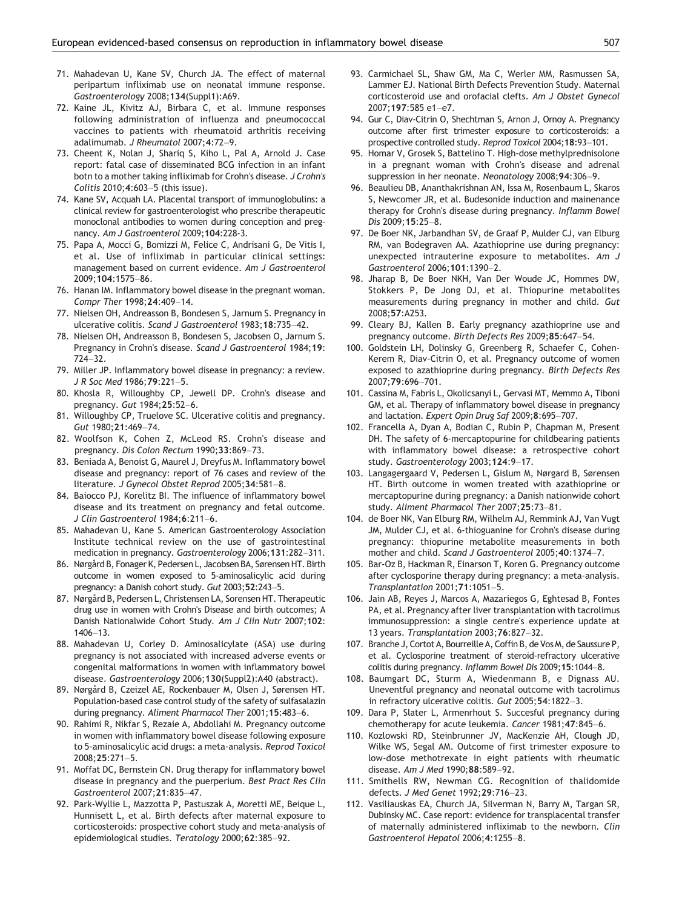- <span id="page-14-0"></span>71. Mahadevan U, Kane SV, Church JA. The effect of maternal peripartum infliximab use on neonatal immune response. Gastroenterology 2008;134(Suppl1):A69.
- 72. Kaine JL, Kivitz AJ, Birbara C, et al. Immune responses following administration of influenza and pneumococcal vaccines to patients with rheumatoid arthritis receiving adalimumab. J Rheumatol 2007;4:72–9.
- 73. Cheent K, Nolan J, Shariq S, Kiho L, Pal A, Arnold J. Case report: fatal case of disseminated BCG infection in an infant botn to a mother taking infliximab for Crohn's disease. J Crohn's Colitis 2010;4:603–5 (this issue).
- 74. Kane SV, Acquah LA. Placental transport of immunoglobulins: a clinical review for gastroenterologist who prescribe therapeutic monoclonal antibodies to women during conception and pregnancy. Am J Gastroenterol 2009;104:228-3.
- 75. Papa A, Mocci G, Bomizzi M, Felice C, Andrisani G, De Vitis I, et al. Use of infliximab in particular clinical settings: management based on current evidence. Am J Gastroenterol 2009;104:1575–86.
- 76. Hanan IM. Inflammatory bowel disease in the pregnant woman. Compr Ther 1998;24:409–14.
- 77. Nielsen OH, Andreasson B, Bondesen S, Jarnum S. Pregnancy in ulcerative colitis. Scand J Gastroenterol 1983;18:735–42.
- 78. Nielsen OH, Andreasson B, Bondesen S, Jacobsen O, Jarnum S. Pregnancy in Crohn's disease. Scand J Gastroenterol 1984;19: 724–32.
- 79. Miller JP. Inflammatory bowel disease in pregnancy: a review. J R Soc Med 1986;79:221–5.
- 80. Khosla R, Willoughby CP, Jewell DP. Crohn's disease and pregnancy. Gut 1984;25:52–6.
- 81. Willoughby CP, Truelove SC. Ulcerative colitis and pregnancy. Gut 1980;21:469–74.
- 82. Woolfson K, Cohen Z, McLeod RS. Crohn's disease and pregnancy. Dis Colon Rectum 1990;33:869–73.
- 83. Beniada A, Benoist G, Maurel J, Dreyfus M. Inflammatory bowel disease and pregnancy: report of 76 cases and review of the literature. J Gynecol Obstet Reprod 2005;34:581–8.
- 84. Baiocco PJ, Korelitz BI. The influence of inflammatory bowel disease and its treatment on pregnancy and fetal outcome. J Clin Gastroenterol 1984;6:211–6.
- 85. Mahadevan U, Kane S. American Gastroenterology Association Institute technical review on the use of gastrointestinal medication in pregnancy. Gastroenterology 2006;131:282–311.
- 86. Nørgård B, Fonager K, Pedersen L, Jacobsen BA, Sørensen HT. Birth outcome in women exposed to 5-aminosalicylic acid during pregnancy: a Danish cohort study. Gut 2003;52:243–5.
- 87. Nørgård B, Pedersen L, Christensen LA, Sorensen HT. Therapeutic drug use in women with Crohn's Disease and birth outcomes; A Danish Nationalwide Cohort Study. Am J Clin Nutr 2007;102: 1406–13.
- 88. Mahadevan U, Corley D. Aminosalicylate (ASA) use during pregnancy is not associated with increased adverse events or congenital malformations in women with inflammatory bowel disease. Gastroenterology 2006;130(Suppl2):A40 (abstract).
- 89. Nørgård B, Czeizel AE, Rockenbauer M, Olsen J, Sørensen HT. Population-based case control study of the safety of sulfasalazin during pregnancy. Aliment Pharmacol Ther 2001;15:483–6.
- 90. Rahimi R, Nikfar S, Rezaie A, Abdollahi M. Pregnancy outcome in women with inflammatory bowel disease following exposure to 5-aminosalicylic acid drugs: a meta-analysis. Reprod Toxicol 2008;25:271–5.
- 91. Moffat DC, Bernstein CN. Drug therapy for inflammatory bowel disease in pregnancy and the puerperium. Best Pract Res Clin Gastroenterol 2007;21:835–47.
- 92. Park-Wyllie L, Mazzotta P, Pastuszak A, Moretti ME, Beique L, Hunnisett L, et al. Birth defects after maternal exposure to corticosteroids: prospective cohort study and meta-analysis of epidemiological studies. Teratology 2000;62:385–92.
- 93. Carmichael SL, Shaw GM, Ma C, Werler MM, Rasmussen SA, Lammer EJ. National Birth Defects Prevention Study. Maternal corticosteroid use and orofacial clefts. Am J Obstet Gynecol 2007;197:585 e1–e7.
- 94. Gur C, Diav-Citrin O, Shechtman S, Arnon J, Ornoy A. Pregnancy outcome after first trimester exposure to corticosteroids: a prospective controlled study. Reprod Toxicol 2004;18:93–101.
- 95. Homar V, Grosek S, Battelino T. High-dose methylprednisolone in a pregnant woman with Crohn's disease and adrenal suppression in her neonate. Neonatology 2008;94:306–9.
- 96. Beaulieu DB, Ananthakrishnan AN, Issa M, Rosenbaum L, Skaros S, Newcomer JR, et al. Budesonide induction and mainenance therapy for Crohn's disease during pregnancy. Inflamm Bowel Dis 2009;15:25–8.
- 97. De Boer NK, Jarbandhan SV, de Graaf P, Mulder CJ, van Elburg RM, van Bodegraven AA. Azathioprine use during pregnancy: unexpected intrauterine exposure to metabolites. Am J Gastroenterol 2006;101:1390–2.
- 98. Jharap B, De Boer NKH, Van Der Woude JC, Hommes DW, Stokkers P, De Jong DJ, et al. Thiopurine metabolites measurements during pregnancy in mother and child. Gut 2008;57:A253.
- 99. Cleary BJ, Kallen B. Early pregnancy azathioprine use and pregnancy outcome. Birth Defects Res 2009;85:647–54.
- 100. Goldstein LH, Dolinsky G, Greenberg R, Schaefer C, Cohen-Kerem R, Diav-Citrin O, et al. Pregnancy outcome of women exposed to azathioprine during pregnancy. Birth Defects Res 2007;79:696–701.
- 101. Cassina M, Fabris L, Okolicsanyi L, Gervasi MT, Memmo A, Tiboni GM, et al. Therapy of inflammatory bowel disease in pregnancy and lactation. Expert Opin Drug Saf 2009;8:695–707.
- 102. Francella A, Dyan A, Bodian C, Rubin P, Chapman M, Present DH. The safety of 6-mercaptopurine for childbearing patients with inflammatory bowel disease: a retrospective cohort study. Gastroenterology 2003;124:9–17.
- 103. Langagergaard V, Pedersen L, Gislum M, Nørgard B, Sørensen HT. Birth outcome in women treated with azathioprine or mercaptopurine during pregnancy: a Danish nationwide cohort study. Aliment Pharmacol Ther 2007;25:73–81.
- 104. de Boer NK, Van Elburg RM, Wilhelm AJ, Remmink AJ, Van Vugt JM, Mulder CJ, et al. 6-thioguanine for Crohn's disease during pregnancy: thiopurine metabolite measurements in both mother and child. Scand J Gastroenterol 2005;40:1374–7.
- 105. Bar-Oz B, Hackman R, Einarson T, Koren G. Pregnancy outcome after cyclosporine therapy during pregnancy: a meta-analysis. Transplantation 2001;71:1051–5.
- 106. Jain AB, Reyes J, Marcos A, Mazariegos G, Eghtesad B, Fontes PA, et al. Pregnancy after liver transplantation with tacrolimus immunosuppression: a single centre's experience update at 13 years. Transplantation 2003;76:827–32.
- 107. Branche J, Cortot A, Bourreille A, Coffin B, de Vos M, de Saussure P, et al. Cyclosporine treatment of steroid-refractory ulcerative colitis during pregnancy. Inflamm Bowel Dis 2009;15:1044–8.
- 108. Baumgart DC, Sturm A, Wiedenmann B, e Dignass AU. Uneventful pregnancy and neonatal outcome with tacrolimus in refractory ulcerative colitis. Gut 2005;54:1822–3.
- 109. Dara P, Slater L, Armenrhout S. Succesful pregnancy during chemotherapy for acute leukemia. Cancer 1981;47:845–6.
- 110. Kozlowski RD, Steinbrunner JV, MacKenzie AH, Clough JD, Wilke WS, Segal AM. Outcome of first trimester exposure to low-dose methotrexate in eight patients with rheumatic disease. Am J Med 1990;88:589–92.
- 111. Smithells RW, Newman CG. Recognition of thalidomide defects. J Med Genet 1992;29:716–23.
- 112. Vasiliauskas EA, Church JA, Silverman N, Barry M, Targan SR, Dubinsky MC. Case report: evidence for transplacental transfer of maternally administered infliximab to the newborn. Clin Gastroenterol Hepatol 2006;4:1255–8.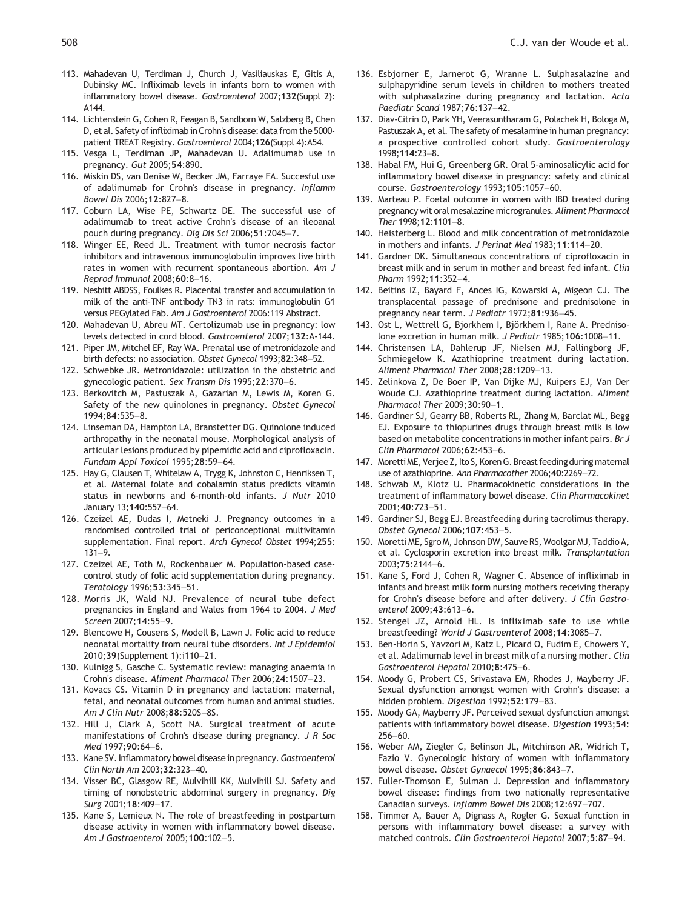- <span id="page-15-0"></span>113. Mahadevan U, Terdiman J, Church J, Vasiliauskas E, Gitis A, Dubinsky MC. Infliximab levels in infants born to women with inflammatory bowel disease. Gastroenterol 2007;132(Suppl 2): A144.
- 114. Lichtenstein G, Cohen R, Feagan B, Sandborn W, Salzberg B, Chen D, et al. Safety of infliximab in Crohn's disease: data from the 5000 patient TREAT Registry. Gastroenterol 2004;126(Suppl 4):A54.
- 115. Vesga L, Terdiman JP, Mahadevan U. Adalimumab use in pregnancy. Gut 2005;54:890.
- 116. Miskin DS, van Denise W, Becker JM, Farraye FA. Succesful use of adalimumab for Crohn's disease in pregnancy. Inflamm Bowel Dis 2006;12:827–8.
- 117. Coburn LA, Wise PE, Schwartz DE. The successful use of adalimumab to treat active Crohn's disease of an ileoanal pouch during pregnancy. Dig Dis Sci 2006;51:2045–7.
- 118. Winger EE, Reed JL. Treatment with tumor necrosis factor inhibitors and intravenous immunoglobulin improves live birth rates in women with recurrent spontaneous abortion. Am J Reprod Immunol 2008;60:8–16.
- 119. Nesbitt ABDSS, Foulkes R. Placental transfer and accumulation in milk of the anti-TNF antibody TN3 in rats: immunoglobulin G1 versus PEGylated Fab. Am J Gastroenterol 2006:119 Abstract.
- 120. Mahadevan U, Abreu MT. Certolizumab use in pregnancy: low levels detected in cord blood. Gastroenterol 2007;132:A-144.
- 121. Piper JM, Mitchel EF, Ray WA. Prenatal use of metronidazole and birth defects: no association. Obstet Gynecol 1993;82:348–52.
- 122. Schwebke JR. Metronidazole: utilization in the obstetric and gynecologic patient. Sex Transm Dis 1995;22:370–6.
- 123. Berkovitch M, Pastuszak A, Gazarian M, Lewis M, Koren G. Safety of the new quinolones in pregnancy. Obstet Gynecol 1994;84:535–8.
- 124. Linseman DA, Hampton LA, Branstetter DG. Quinolone induced arthropathy in the neonatal mouse. Morphological analysis of articular lesions produced by pipemidic acid and ciprofloxacin. Fundam Appl Toxicol 1995;28:59–64.
- 125. Hay G, Clausen T, Whitelaw A, Trygg K, Johnston C, Henriksen T, et al. Maternal folate and cobalamin status predicts vitamin status in newborns and 6-month-old infants. J Nutr 2010 January 13;140:557–64.
- 126. Czeizel AE, Dudas I, Metneki J. Pregnancy outcomes in a randomised controlled trial of periconceptional multivitamin supplementation. Final report. Arch Gynecol Obstet 1994;255: 131–9.
- 127. Czeizel AE, Toth M, Rockenbauer M. Population-based casecontrol study of folic acid supplementation during pregnancy. Teratology 1996;53:345–51.
- 128. Morris JK, Wald NJ. Prevalence of neural tube defect pregnancies in England and Wales from 1964 to 2004. J Med Screen 2007;14:55–9.
- 129. Blencowe H, Cousens S, Modell B, Lawn J. Folic acid to reduce neonatal mortality from neural tube disorders. Int J Epidemiol 2010;39(Supplement 1):i110–21.
- 130. Kulnigg S, Gasche C. Systematic review: managing anaemia in Crohn's disease. Aliment Pharmacol Ther 2006;24:1507–23.
- 131. Kovacs CS. Vitamin D in pregnancy and lactation: maternal, fetal, and neonatal outcomes from human and animal studies. Am J Clin Nutr 2008;88:520S–8S.
- 132. Hill J, Clark A, Scott NA. Surgical treatment of acute manifestations of Crohn's disease during pregnancy. J R Soc Med 1997;90:64–6.
- 133. Kane SV. Inflammatory bowel disease in pregnancy. Gastroenterol Clin North Am 2003;32:323–40.
- 134. Visser BC, Glasgow RE, Mulvihill KK, Mulvihill SJ. Safety and timing of nonobstetric abdominal surgery in pregnancy. Dig Surg 2001;18:409–17.
- 135. Kane S, Lemieux N. The role of breastfeeding in postpartum disease activity in women with inflammatory bowel disease. Am J Gastroenterol 2005;100:102–5.
- 136. Esbjorner E, Jarnerot G, Wranne L. Sulphasalazine and sulphapyridine serum levels in children to mothers treated with sulphasalazine during pregnancy and lactation. Acta Paediatr Scand 1987;76:137–42.
- 137. Diav-Citrin O, Park YH, Veerasuntharam G, Polachek H, Bologa M, Pastuszak A, et al. The safety of mesalamine in human pregnancy: a prospective controlled cohort study. Gastroenterology 1998;114:23–8.
- 138. Habal FM, Hui G, Greenberg GR. Oral 5-aminosalicylic acid for inflammatory bowel disease in pregnancy: safety and clinical course. Gastroenterology 1993;105:1057–60.
- 139. Marteau P. Foetal outcome in women with IBD treated during pregnancy wit oral mesalazine microgranules. Aliment Pharmacol Ther 1998;12:1101–8.
- 140. Heisterberg L. Blood and milk concentration of metronidazole in mothers and infants. J Perinat Med 1983;11:114–20.
- 141. Gardner DK. Simultaneous concentrations of ciprofloxacin in breast milk and in serum in mother and breast fed infant. Clin Pharm 1992;11:352–4.
- 142. Beitins IZ, Bayard F, Ances IG, Kowarski A, Migeon CJ. The transplacental passage of prednisone and prednisolone in pregnancy near term. J Pediatr 1972;81:936–45.
- 143. Ost L, Wettrell G, Bjorkhem I, Björkhem I, Rane A. Prednisolone excretion in human milk. J Pediatr 1985;106:1008–11.
- 144. Christensen LA, Dahlerup JF, Nielsen MJ, Fallingborg JF, Schmiegelow K. Azathioprine treatment during lactation. Aliment Pharmacol Ther 2008;28:1209–13.
- 145. Zelinkova Z, De Boer IP, Van Dijke MJ, Kuipers EJ, Van Der Woude CJ. Azathioprine treatment during lactation. Aliment Pharmacol Ther 2009;30:90–1.
- 146. Gardiner SJ, Gearry BB, Roberts RL, Zhang M, Barclat ML, Begg EJ. Exposure to thiopurines drugs through breast milk is low based on metabolite concentrations in mother infant pairs. Br J Clin Pharmacol 2006;62:453–6.
- 147. Moretti ME, Verjee Z, Ito S, Koren G. Breast feeding during maternal use of azathioprine. Ann Pharmacother 2006;40:2269–72.
- 148. Schwab M, Klotz U. Pharmacokinetic considerations in the treatment of inflammatory bowel disease. Clin Pharmacokinet 2001;40:723–51.
- 149. Gardiner SJ, Begg EJ. Breastfeeding during tacrolimus therapy. Obstet Gynecol 2006;107:453–5.
- 150. Moretti ME, Sgro M, Johnson DW, Sauve RS, Woolgar MJ, Taddio A, et al. Cyclosporin excretion into breast milk. Transplantation  $2003.75.2144 - 6$
- 151. Kane S, Ford J, Cohen R, Wagner C. Absence of infliximab in infants and breast milk form nursing mothers receiving therapy for Crohn's disease before and after delivery. J Clin Gastroenterol 2009;43:613–6.
- 152. Stengel JZ, Arnold HL. Is infliximab safe to use while breastfeeding? World J Gastroenterol 2008;14:3085–7.
- 153. Ben-Horin S, Yavzori M, Katz L, Picard O, Fudim E, Chowers Y, et al. Adalimumab level in breast milk of a nursing mother. Clin Gastroenterol Hepatol 2010;8:475–6.
- 154. Moody G, Probert CS, Srivastava EM, Rhodes J, Mayberry JF. Sexual dysfunction amongst women with Crohn's disease: a hidden problem. Digestion 1992;52:179–83.
- 155. Moody GA, Mayberry JF. Perceived sexual dysfunction amongst patients with inflammatory bowel disease. Digestion 1993;54: 256–60.
- 156. Weber AM, Ziegler C, Belinson JL, Mitchinson AR, Widrich T, Fazio V. Gynecologic history of women with inflammatory bowel disease. Obstet Gynaecol 1995;86:843–7.
- 157. Fuller-Thomson E, Sulman J. Depression and inflammatory bowel disease: findings from two nationally representative Canadian surveys. Inflamm Bowel Dis 2008;12:697–707.
- 158. Timmer A, Bauer A, Dignass A, Rogler G. Sexual function in persons with inflammatory bowel disease: a survey with matched controls. Clin Gastroenterol Hepatol 2007;5:87–94.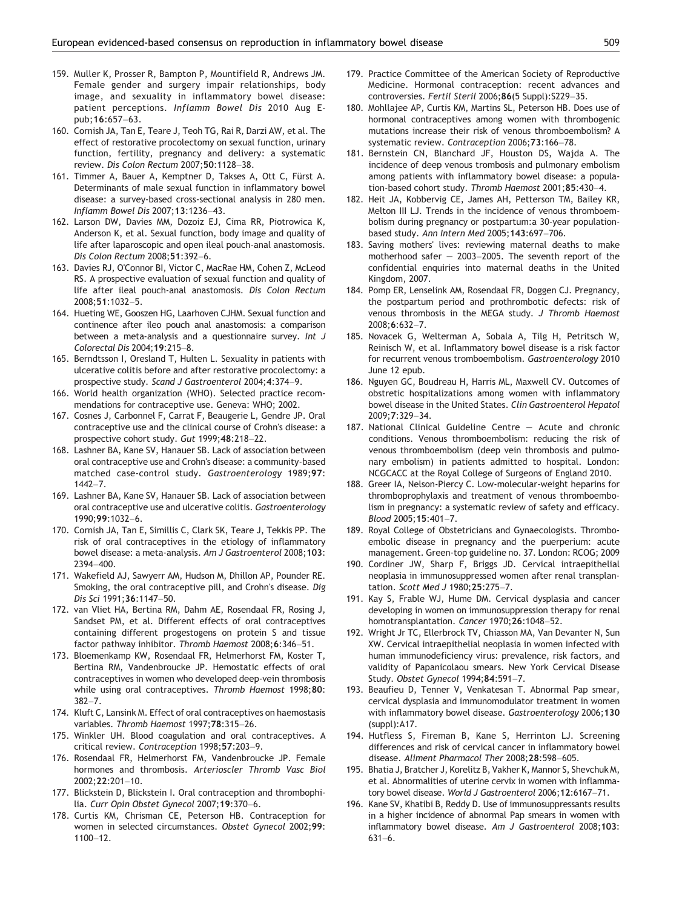- <span id="page-16-0"></span>159. Muller K, Prosser R, Bampton P, Mountifield R, Andrews JM. Female gender and surgery impair relationships, body image, and sexuality in inflammatory bowel disease: patient perceptions. Inflamm Bowel Dis 2010 Aug Epub;16:657–63.
- 160. Cornish JA, Tan E, Teare J, Teoh TG, Rai R, Darzi AW, et al. The effect of restorative procolectomy on sexual function, urinary function, fertility, pregnancy and delivery: a systematic review. Dis Colon Rectum 2007;50:1128–38.
- 161. Timmer A, Bauer A, Kemptner D, Takses A, Ott C, Fürst A. Determinants of male sexual function in inflammatory bowel disease: a survey-based cross-sectional analysis in 280 men. Inflamm Bowel Dis 2007;13:1236–43.
- 162. Larson DW, Davies MM, Dozoiz EJ, Cima RR, Piotrowica K, Anderson K, et al. Sexual function, body image and quality of life after laparoscopic and open ileal pouch-anal anastomosis. Dis Colon Rectum 2008;51:392–6.
- 163. Davies RJ, O'Connor BI, Victor C, MacRae HM, Cohen Z, McLeod RS. A prospective evaluation of sexual function and quality of life after ileal pouch-anal anastomosis. Dis Colon Rectum 2008;51:1032–5.
- 164. Hueting WE, Gooszen HG, Laarhoven CJHM. Sexual function and continence after ileo pouch anal anastomosis: a comparison between a meta-analysis and a questionnaire survey. Int J Colorectal Dis 2004;19:215–8.
- 165. Berndtsson I, Oresland T, Hulten L. Sexuality in patients with ulcerative colitis before and after restorative procolectomy: a prospective study. Scand J Gastroenterol 2004;4:374–9.
- 166. World health organization (WHO). Selected practice recommendations for contraceptive use. Geneva: WHO; 2002.
- 167. Cosnes J, Carbonnel F, Carrat F, Beaugerie L, Gendre JP. Oral contraceptive use and the clinical course of Crohn's disease: a prospective cohort study. Gut 1999;48:218–22.
- 168. Lashner BA, Kane SV, Hanauer SB. Lack of association between oral contraceptive use and Crohn's disease: a community-based matched case-control study. Gastroenterology 1989;97: 1442–7.
- 169. Lashner BA, Kane SV, Hanauer SB. Lack of association between oral contraceptive use and ulcerative colitis. Gastroenterology 1990;99:1032–6.
- 170. Cornish JA, Tan E, Simillis C, Clark SK, Teare J, Tekkis PP. The risk of oral contraceptives in the etiology of inflammatory bowel disease: a meta-analysis. Am J Gastroenterol 2008;103: 2394–400.
- 171. Wakefield AJ, Sawyerr AM, Hudson M, Dhillon AP, Pounder RE. Smoking, the oral contraceptive pill, and Crohn's disease. Dig Dis Sci 1991;36:1147–50.
- 172. van Vliet HA, Bertina RM, Dahm AE, Rosendaal FR, Rosing J, Sandset PM, et al. Different effects of oral contraceptives containing different progestogens on protein S and tissue factor pathway inhibitor. Thromb Haemost 2008;6:346–51.
- 173. Bloemenkamp KW, Rosendaal FR, Helmerhorst FM, Koster T, Bertina RM, Vandenbroucke JP. Hemostatic effects of oral contraceptives in women who developed deep-vein thrombosis while using oral contraceptives. Thromb Haemost 1998;80: 382–7.
- 174. Kluft C, Lansink M. Effect of oral contraceptives on haemostasis variables. Thromb Haemost 1997;78:315–26.
- 175. Winkler UH. Blood coagulation and oral contraceptives. A critical review. Contraception 1998;57:203–9.
- 176. Rosendaal FR, Helmerhorst FM, Vandenbroucke JP. Female hormones and thrombosis. Arterioscler Thromb Vasc Biol 2002;22:201–10.
- 177. Blickstein D, Blickstein I. Oral contraception and thrombophilia. Curr Opin Obstet Gynecol 2007;19:370–6.
- 178. Curtis KM, Chrisman CE, Peterson HB. Contraception for women in selected circumstances. Obstet Gynecol 2002;99: 1100–12.
- 179. Practice Committee of the American Society of Reproductive Medicine. Hormonal contraception: recent advances and controversies. Fertil Steril 2006;86(5 Suppl):S229–35.
- 180. Mohllajee AP, Curtis KM, Martins SL, Peterson HB. Does use of hormonal contraceptives among women with thrombogenic mutations increase their risk of venous thromboembolism? A systematic review. Contraception 2006;73:166–78.
- 181. Bernstein CN, Blanchard JF, Houston DS, Wajda A. The incidence of deep venous trombosis and pulmonary embolism among patients with inflammatory bowel disease: a population-based cohort study. Thromb Haemost 2001;85:430–4.
- 182. Heit JA, Kobbervig CE, James AH, Petterson TM, Bailey KR, Melton III LJ. Trends in the incidence of venous thromboembolism during pregnancy or postpartum:a 30-year populationbased study. Ann Intern Med 2005;143:697–706.
- 183. Saving mothers' lives: reviewing maternal deaths to make motherhood safer — 2003–2005. The seventh report of the confidential enquiries into maternal deaths in the United Kingdom, 2007.
- 184. Pomp ER, Lenselink AM, Rosendaal FR, Doggen CJ. Pregnancy, the postpartum period and prothrombotic defects: risk of venous thrombosis in the MEGA study. J Thromb Haemost 2008;6:632–7.
- 185. Novacek G, Welterman A, Sobala A, Tilg H, Petritsch W, Reinisch W, et al. Inflammatory bowel disease is a risk factor for recurrent venous tromboembolism. Gastroenterology 2010 June 12 epub.
- 186. Nguyen GC, Boudreau H, Harris ML, Maxwell CV. Outcomes of obstretic hospitalizations among women with inflammatory bowel disease in the United States. Clin Gastroenterol Hepatol 2009;7:329–34.
- 187. National Clinical Guideline Centre Acute and chronic conditions. Venous thromboembolism: reducing the risk of venous thromboembolism (deep vein thrombosis and pulmonary embolism) in patients admitted to hospital. London: NCGCACC at the Royal College of Surgeons of England 2010.
- 188. Greer IA, Nelson-Piercy C. Low-molecular-weight heparins for thromboprophylaxis and treatment of venous thromboembolism in pregnancy: a systematic review of safety and efficacy. Blood 2005;15:401–7.
- 189. Royal College of Obstetricians and Gynaecologists. Thromboembolic disease in pregnancy and the puerperium: acute management. Green-top guideline no. 37. London: RCOG; 2009
- 190. Cordiner JW, Sharp F, Briggs JD. Cervical intraepithelial neoplasia in immunosuppressed women after renal transplantation. Scott Med J 1980;25:275–7.
- 191. Kay S, Frable WJ, Hume DM. Cervical dysplasia and cancer developing in women on immunosuppression therapy for renal homotransplantation. Cancer 1970;26:1048–52.
- 192. Wright Jr TC, Ellerbrock TV, Chiasson MA, Van Devanter N, Sun XW. Cervical intraepithelial neoplasia in women infected with human immunodeficiency virus: prevalence, risk factors, and validity of Papanicolaou smears. New York Cervical Disease Study. Obstet Gynecol 1994;84:591–7.
- 193. Beaufieu D, Tenner V, Venkatesan T. Abnormal Pap smear, cervical dysplasia and immunomodulator treatment in women with inflammatory bowel disease. Gastroenterology 2006;130 (suppl):A17.
- 194. Hutfless S, Fireman B, Kane S, Herrinton LJ. Screening differences and risk of cervical cancer in inflammatory bowel disease. Aliment Pharmacol Ther 2008;28:598–605.
- 195. Bhatia J, Bratcher J, Korelitz B, Vakher K, Mannor S, Shevchuk M, et al. Abnormalities of uterine cervix in women with inflammatory bowel disease. World J Gastroenterol 2006;12:6167–71.
- 196. Kane SV, Khatibi B, Reddy D. Use of immunosuppressants results in a higher incidence of abnormal Pap smears in women with inflammatory bowel disease. Am J Gastroenterol 2008;103: 631–6.